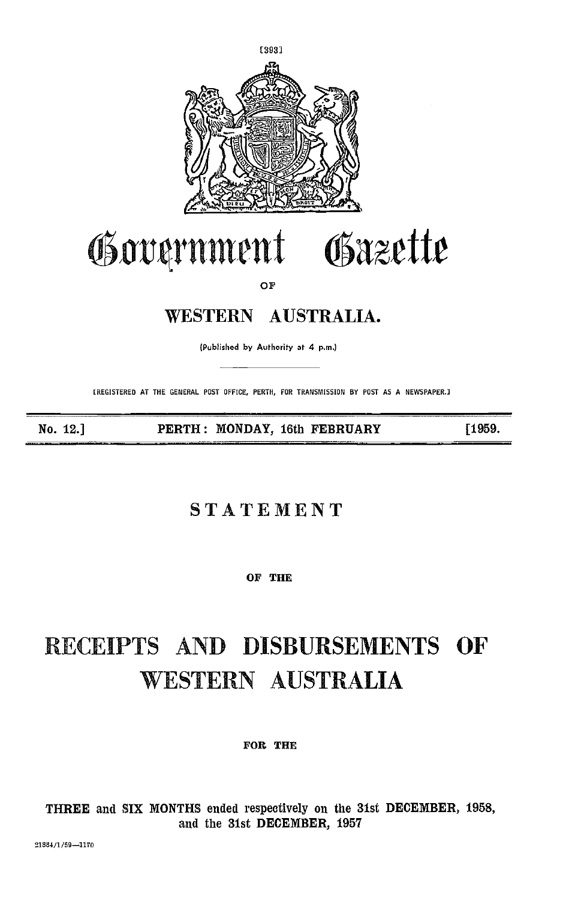

# Government Gazette

OF

### WESTERN AUSTRALIA.

(Published by Authority at 4 p.m.)

[REGISTERED AT THE GENERAL POST OFFICE, PERTH, FOR TRANSMISSION BY POST AS A NEWSPAPER.]

No. 12.] PERTH: MONDAY, 16th FEBRUARY [1959.

#### STATEMENT

OF THE

### RECEIPTS AND DISBURSEMENTS OF WESTERN AUSTRALIA

#### FOR THE

THREE and SIX MONTHS ended respectively on the 31st DECEMBER, 1958, and the 31st DECEMBER, 1957

 $21884/1/59 - 1170$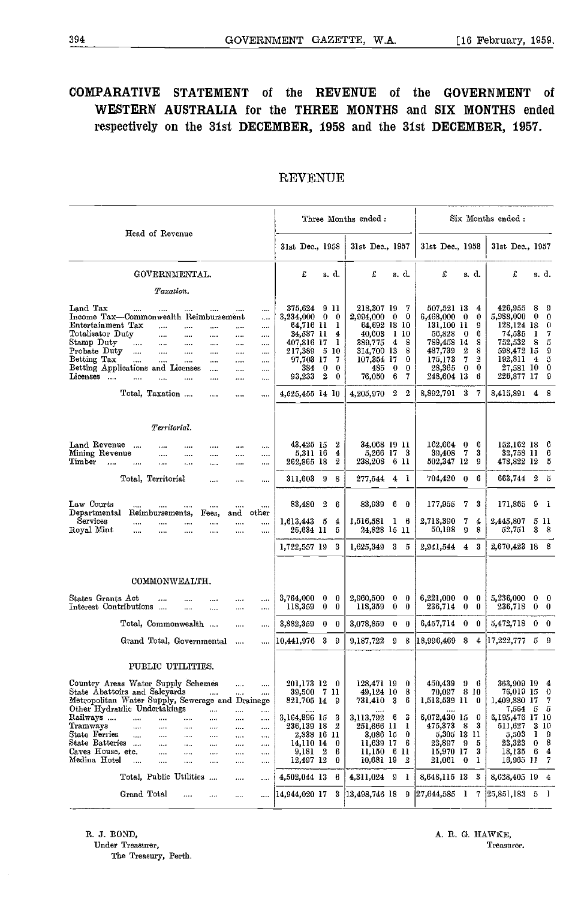#### COMPARATIVE STATEMENT of the REVENUE of the GOVERNMENT of WESTERN AUSTRALIA for the THREE MONTHS and SIX MONTHS ended respectively on the 31st DECEMBER, 1958 and the 31st DECEMBER, 1957.

#### REVENUE

|                                                                                                                                                                                                                                                                                                                                                                                                                                                                                                                                                     |                                                                                                                                                                                                    | Three Months ended :                                                                                                                                                                                                                 | Six Months ended:                                                                                                                                                                                                                                                |                                                                                                                                                                                                            |  |  |
|-----------------------------------------------------------------------------------------------------------------------------------------------------------------------------------------------------------------------------------------------------------------------------------------------------------------------------------------------------------------------------------------------------------------------------------------------------------------------------------------------------------------------------------------------------|----------------------------------------------------------------------------------------------------------------------------------------------------------------------------------------------------|--------------------------------------------------------------------------------------------------------------------------------------------------------------------------------------------------------------------------------------|------------------------------------------------------------------------------------------------------------------------------------------------------------------------------------------------------------------------------------------------------------------|------------------------------------------------------------------------------------------------------------------------------------------------------------------------------------------------------------|--|--|
| Head of Revenue                                                                                                                                                                                                                                                                                                                                                                                                                                                                                                                                     | 31st Dec., 1958                                                                                                                                                                                    | 31st Dec., 1957                                                                                                                                                                                                                      | 31st Dec., 1958                                                                                                                                                                                                                                                  | 31st Dec., 1957                                                                                                                                                                                            |  |  |
| GOVERNMENTAL.                                                                                                                                                                                                                                                                                                                                                                                                                                                                                                                                       | £<br>s. d.                                                                                                                                                                                         | £<br>s. d.                                                                                                                                                                                                                           | £<br>s. d.                                                                                                                                                                                                                                                       | £<br>s. d.                                                                                                                                                                                                 |  |  |
| Taxation.                                                                                                                                                                                                                                                                                                                                                                                                                                                                                                                                           |                                                                                                                                                                                                    |                                                                                                                                                                                                                                      |                                                                                                                                                                                                                                                                  |                                                                                                                                                                                                            |  |  |
| Land Tax<br><br>$\cdots$<br>Income Tax-Commonwealth Reimbursement<br>$\cdots$<br>Entertainment Tax<br>$\cdots$<br><br><br><br><br>Totalisator Duty<br>$\cdots$<br><br><br><br><br>Stamp Duty<br>$\cdots$<br>$\ldots$<br>$\cdots$<br><br><br><br>Probate Duty<br>$\cdots$<br>$\cdots$<br><br>$\cdots$<br><br>$\cdots$<br>Betting Tax<br>$\cdots$<br>$\cdots$<br>$\cdots$<br>$\cdots$<br><br><br>Betting Applications and Licenses<br>$\cdots$<br>$\cdots$<br>$\cdots$<br>Licenses<br><br>asa.<br><br><br><br>$\cdots$<br>Total, Taxation<br><br><br> | 375,624 9 11<br>3,234,000<br>$\bf{0}$<br>$\bf{0}$<br>64,716 11<br>1<br>34,587 11<br>4<br>407,816 17<br>1<br>217,389 510<br>7<br>97,703 17<br>384 0<br>0<br>93,233 2<br>$\bf{0}$<br>4,525,455 14 10 | 218,307 19<br>- 7<br>2,994,000 0<br>$\bf{0}$<br>64,692 18 10<br>40,603<br><b>1</b> 10<br>389,775<br>$\overline{4}$<br>- 8<br>314,700 13<br>8<br>107,354 17<br>0<br>485.<br>$\bf{0}$<br>$\bf{0}$<br>76,050 6<br>7<br>4,205,970 2<br>2 | 507,521 13<br>4<br>6,468,000<br>$\bf{0}$<br>$\boldsymbol{0}$<br>131,100 11<br>9<br>56,828<br>$\bf{0}$<br>6<br>789,458 14<br>8<br>$\overline{2}$<br>487,739<br>8<br>2<br>175,173<br>-7<br>$\bf{0}$<br>28,365<br>$\bf{0}$<br>248,604 13<br>6<br>8,892,791 3<br>- 7 | 426,955<br>8<br>9<br>5,988,000<br>0<br>$\bf{0}$<br>128,124 18<br>0<br>74,535<br>1<br>7<br>752,532<br>8<br>5<br>598,472 15<br>9<br>192,811<br>4<br>5<br>27,581 10<br>0<br>226,877 17<br>-9<br>8,415,891 4 8 |  |  |
| Territorial.                                                                                                                                                                                                                                                                                                                                                                                                                                                                                                                                        |                                                                                                                                                                                                    |                                                                                                                                                                                                                                      |                                                                                                                                                                                                                                                                  |                                                                                                                                                                                                            |  |  |
| Land Revenue<br><br>$\cdots$<br><br><br><br>Mining Revenue<br><br><br><br><br><br>Timber<br>$\ddotsc$<br>1.1.1<br><b>PARK</b>                                                                                                                                                                                                                                                                                                                                                                                                                       | 43,425 15<br>2<br>5,311 16<br>4<br>262,865 18<br>2                                                                                                                                                 | 34,068 19 11<br>5,266 17 3<br>238,208 6 11                                                                                                                                                                                           | $162,664$ 0<br>-6<br>3<br>39.408<br>- 7<br>502,347 12<br>9                                                                                                                                                                                                       | 152,162 18<br>6<br>32,758 11<br>6<br>478,822 12<br>5                                                                                                                                                       |  |  |
| Total, Territorial<br><br><br>$\cdots$                                                                                                                                                                                                                                                                                                                                                                                                                                                                                                              | 311,603 9<br>8                                                                                                                                                                                     | 277,544 4 1                                                                                                                                                                                                                          | 704,420 0<br>-6                                                                                                                                                                                                                                                  | 663,744 2 5                                                                                                                                                                                                |  |  |
| Law Courts<br>$\cdots$<br><br><br><br><br><br>Departmental<br>Reimbursements,<br>and other<br>Fees,<br>Services<br><br><br><br><br><br><br>Royal Mint<br>$\cdots$<br>$\cdots$<br><br><br><br>                                                                                                                                                                                                                                                                                                                                                       | 83,480 2<br>- 6<br>1,613,443 5<br>$\overline{a}$<br>5<br>25,634 11<br>1,722,557 19 3                                                                                                               | 83,939<br>6<br>$\bf{0}$<br>1,516,581<br>16<br>24,828 15 11<br>1,625,349 3 5                                                                                                                                                          | 177,955<br>-3<br>7.<br>2,713,390<br>7.<br>4<br>50,198 9<br>8<br>2,941,544 4 3                                                                                                                                                                                    | 171,865<br>91<br>2,445,807<br>5 H<br>52,751 3 8<br>2,670,423 18 8                                                                                                                                          |  |  |
| COMMONWEALTH.                                                                                                                                                                                                                                                                                                                                                                                                                                                                                                                                       |                                                                                                                                                                                                    |                                                                                                                                                                                                                                      |                                                                                                                                                                                                                                                                  |                                                                                                                                                                                                            |  |  |
| States Grants Act<br><br><br><br>Interest Contributions<br>$\ddotsc$<br><br>                                                                                                                                                                                                                                                                                                                                                                                                                                                                        | 3,764,000<br>$0\quad 0$<br>118,359 0 0                                                                                                                                                             | 2,960,500<br>$0\quad 0$<br>118,359<br>$0\quad 0$                                                                                                                                                                                     | $6,221,000$ 0<br>$\bf{0}$<br>236,714 0 0                                                                                                                                                                                                                         | 5,236,000<br>$0\quad 0$<br>236,718 0 0                                                                                                                                                                     |  |  |
| Total, Commonwealth<br><br>$\cdots$                                                                                                                                                                                                                                                                                                                                                                                                                                                                                                                 | 3,882,359<br>$\bf{0}$<br>$\bf{0}$                                                                                                                                                                  | 3,078,859<br>$0\quad 0$                                                                                                                                                                                                              | 6,457,714<br>$\bf{0}$<br>$\boldsymbol{0}$                                                                                                                                                                                                                        | 5,472,718<br>$0\quad 0$                                                                                                                                                                                    |  |  |
| Grand Total, Governmental<br>$\sim 100$<br>                                                                                                                                                                                                                                                                                                                                                                                                                                                                                                         | 10,441,976 3 9                                                                                                                                                                                     | 9,187,722 9 8                                                                                                                                                                                                                        | $ 18,996,469 \quad 8 \quad 4$                                                                                                                                                                                                                                    | $ 17,222,777 \t5 \t9$                                                                                                                                                                                      |  |  |
| PUBLIC UTILITIES.                                                                                                                                                                                                                                                                                                                                                                                                                                                                                                                                   |                                                                                                                                                                                                    |                                                                                                                                                                                                                                      |                                                                                                                                                                                                                                                                  |                                                                                                                                                                                                            |  |  |
| Country Areas Water Supply Schemes<br>State Abattoirs and Saleyards<br><br>.<br><br>Metropolitan Water Supply, Sewerage and Drainage<br>Other Hydraulic Undertakings<br><br>Railways<br>$\cdots$<br><br>$\cdots$<br><br><br>Tramways<br>$\cdots$<br><br>$\cdots$<br><br><br><br>State Ferries<br>$\cdots$<br><br><br><br>State Batteries<br>$\ddotsc$<br><br><br><br><br><br>Caves House, etc.<br><br><br>.<br><br><br>Medina Hotel<br><br><br><br><br><br>                                                                                         | $201,173$ 12 0<br>39,500 7 11<br>821,705 14<br>-9<br>3,164,896 15<br>3<br>2<br>236,139 18<br>2,838 16 11<br>14,110 14<br>$\bf{0}$<br>9,181 2<br>6<br>12,497 12<br>-0                               | $128,471$ 19 0<br>49,124 10<br>8<br>731,410 3<br>6<br>3,113,792 6<br>-3<br>251,666 11<br>$\mathbf{1}$<br>3,086 15 0<br>11,639 17<br>6<br>11,150 6 11<br>10,681 19 2                                                                  | $450,439$ 9 6<br>70,097 8 10<br>1,513,539 11<br>-0<br>6,072,430 15<br>- 0<br>-3<br>475,373 8<br>5,305 13 11<br>23,897 9<br>5<br>15,970 17<br>3<br>21,061 0<br>1                                                                                                  | 363,909 19 4<br>76,019 15<br>$\bf{0}$<br>1,409,880 17<br>7<br>7,564<br>5<br>- 5<br>6,195,476 17 10<br>511,627<br>3 10<br>5,503<br>1<br>9<br>8<br>23,323<br>0<br>6<br>4<br>18,135<br>16,965 11<br>7         |  |  |
| Total, Public Utilities<br><br>$\cdots$                                                                                                                                                                                                                                                                                                                                                                                                                                                                                                             | 4,502,044 13<br>-6                                                                                                                                                                                 | 4,311,024 9<br>$\mathbf{l}$                                                                                                                                                                                                          | 8,648,115 13<br>3                                                                                                                                                                                                                                                | 8,628,405 10 4                                                                                                                                                                                             |  |  |
| Grand Total<br><br><br><br>$1 - 1$                                                                                                                                                                                                                                                                                                                                                                                                                                                                                                                  | 3.<br>14,944,020 17                                                                                                                                                                                | 13,498,746 18 9                                                                                                                                                                                                                      | 27,644,585 l<br>$\mathcal{I}$                                                                                                                                                                                                                                    | $ 25,851,183 \t5 \t1$                                                                                                                                                                                      |  |  |

R. J. BOND, A. B. G. HAWKE, Under Treasurer, Treasurer. The Treasury, Perth.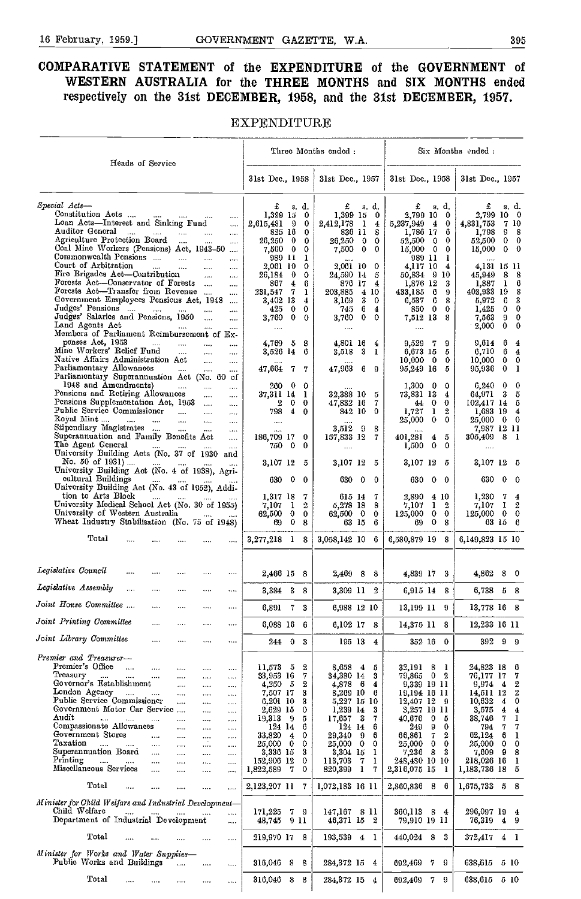#### COMPARATIVE STATEMENT of the EXPENDITURE of the GOVERNMENT of WESTERN AUSTRALIA for the THREE MONTHS and SIX MONTHS ended respectively on the 31st DECEMBER, 1958, and the 31st DECEMBER, 1957.

#### EXPENDITURE

| Heads of Service                                                                                                                                                                                                                                                                                                                                                                                                                                                                                                                                                                                                                                                                                                                                                                                                     |                                                                                                                                                                                                                                                                                             | Three Months ended:                                                                                                                                                                                                                                                       |                                                                                                                                                                                                                                                                                                                                                              | Six Months ended:                                                                                                                                                                                                                                                                                            |
|----------------------------------------------------------------------------------------------------------------------------------------------------------------------------------------------------------------------------------------------------------------------------------------------------------------------------------------------------------------------------------------------------------------------------------------------------------------------------------------------------------------------------------------------------------------------------------------------------------------------------------------------------------------------------------------------------------------------------------------------------------------------------------------------------------------------|---------------------------------------------------------------------------------------------------------------------------------------------------------------------------------------------------------------------------------------------------------------------------------------------|---------------------------------------------------------------------------------------------------------------------------------------------------------------------------------------------------------------------------------------------------------------------------|--------------------------------------------------------------------------------------------------------------------------------------------------------------------------------------------------------------------------------------------------------------------------------------------------------------------------------------------------------------|--------------------------------------------------------------------------------------------------------------------------------------------------------------------------------------------------------------------------------------------------------------------------------------------------------------|
|                                                                                                                                                                                                                                                                                                                                                                                                                                                                                                                                                                                                                                                                                                                                                                                                                      | 31st Dec., 1958                                                                                                                                                                                                                                                                             | 31st Dec., 1957                                                                                                                                                                                                                                                           | 31st Dec., 1958                                                                                                                                                                                                                                                                                                                                              | 31st Dec., 1957                                                                                                                                                                                                                                                                                              |
| Special Acts-<br>Constitution Acts<br>المستحدث المساري<br>$\ldots$ .<br>Loan Acts—Interest and Sinking Fund<br>$\ddotsc$<br>Auditor General<br>$\ldots$<br><b>Service</b> State<br>$\cdots$<br>.<br>$\cdots$<br>Agriculture Protection Board<br><br>Coal Mine Workers (Pensions) Act, 1943-50<br>$\cdots$<br>Commonwealth Pensions<br>$\ldots$<br>Court of Arbitration<br>$\sim$ $\sim$<br>$\cdots$<br>$\cdots$<br><br>Fire Brigades Act-Contribution<br>$\cdots$<br>$\cdots$<br>Forests Act-Conservator of Forests<br>$\cdots$<br>Forests Act-Transfer from Revenue<br>$\cdots$<br>Government Employees Pensions Act, 1948<br>$\cdots$<br>Judges' Pensions<br>$\mathbf{r}$<br>Judges' Salaries and Pensions, 1950<br>$\ddotsc$<br>$\cdots$<br>Land Agents Act<br><br><br>Members of Parliament Reimbursement of Ex- | £<br>s.d.<br>1,399 15<br>0<br>2.615,481<br>- 9<br>0<br>$\bf{0}$<br>825 16<br>26,250 0<br>0<br>7.500 0<br>0<br>989 11<br>1<br>2,061 10<br>0<br>26,184<br>$\mathbf{0}$<br>0<br>$\overline{4}$<br>6<br>867.<br>231,547 7<br>1<br>3,402 13<br>4<br>425<br>$\mathbf{0}$<br>0<br>3,760 0<br>0<br> | £<br>s. d.<br>1,399 15 0<br>2,412,178<br>$\mathbf{1}$<br>4<br>836 11 8<br>26,250 0<br>$\cdot$<br>$7,500 \quad 0 \quad 0$<br>2,061 10 0<br>24,590 14 5<br>876 17<br>4<br>203.885 4 10<br>$3,169$ 3<br>$\mathbf{0}$<br>745 6<br>$\overline{\bf 4}$<br>3,760 0 0<br>$\cdots$ | £<br>s d.<br>2,799 10 0<br>5,237,949<br>$\mathbf{0}$<br>$\overline{\mathbf{4}}$<br>6<br>1,786 17<br>52,500<br>$\mathbf{0}$<br>$\mathbf{0}$<br>$15,000 \quad 0$<br>$\bf{0}$<br>989 11<br>1<br>4,117 10<br>$\overline{4}$<br>50,834 9 10<br>1,376 12<br>3<br>- 6<br>433,185<br>9<br>- 6<br>8<br>6,537<br>$\mathbf{0}$<br>0<br>850<br>7,512 13<br>8<br>$\ldots$ | £<br>s. d.<br>2,799 10 0<br>4,831,753<br>7 10<br>1,798<br>-8<br>9.<br>52,500<br>$0\quad 0$<br>15,000<br>$0\quad 0$<br>4,131 15 11<br>45,949<br>-8<br>8<br>1.887<br>$\mathbf{1}$<br>6<br>403,933 19<br>8<br>6<br>3<br>5,972<br>1,425<br>0<br>0<br>7,563<br>9<br>$\bf{0}$<br>2,000<br>$\mathbf{0}$<br>$\bf{0}$ |
| penses Act, 1953<br><b>Contract Contract Contract</b><br>$\cdots$<br>$\ldots$<br>Mine Workers' Relief Fund<br>$\sim$ $\sim$<br>$\cdots$<br>$\cdots$<br>Native Affairs Administration Act<br>$\cdots$<br>$\cdots$<br>Parliamentary Allowances<br><b>Contractor</b><br>$\ldots$<br>$\cdots$<br>Parlianientary Superannuation Act (No. 60 of                                                                                                                                                                                                                                                                                                                                                                                                                                                                            | 4,769 5 8<br>3,526 14 6<br>47,664 7 7                                                                                                                                                                                                                                                       | 4,801 16<br>$\overline{4}$<br>3,518 3<br>- 1<br>47,963 6 9                                                                                                                                                                                                                | 9,529 7<br>9<br>6,673 15<br>5<br>$10,000 \quad 0$<br>0<br>95,249 16<br>-5                                                                                                                                                                                                                                                                                    | 9,614<br>6<br>4<br>6,710<br>6.<br>$\overline{4}$<br>10,000<br>$\mathbf{0}$<br>0<br>95,936<br>$\mathbf{0}$<br>- 1                                                                                                                                                                                             |
| 1948 and Amendments)<br>المنتقل المنادي<br>$\cdots$<br>Pensions and Retiring Allowances<br>$\cdots$<br>$\ldots$<br>Pensions Supplementation Act, 1953<br>$\cdots$<br>Public Scrvice Commissioner<br>$\cdots$<br>$\cdots$<br>Royal Mint<br>$\cdots$<br>$\cdots$<br>Stipendiary Magistrates<br>$\cdots$<br>$\cdots$                                                                                                                                                                                                                                                                                                                                                                                                                                                                                                    | 260<br>$0\quad 0$<br>37,311 14 1<br>$0\quad 0$<br>2<br>798<br>40<br><br>                                                                                                                                                                                                                    | $1 + 1$<br>32,388 10<br>-5<br>47,832 16<br>-7<br>842 10<br>- 0<br>$3,512$ 9<br>-8                                                                                                                                                                                         | $1,300 \quad 0$<br>0<br>73,831 13<br>4<br>$\mathbf{0}$<br>0<br>44.<br>1,727<br>1<br>2<br>$25,000 \quad 0$<br>$\bf{0}$                                                                                                                                                                                                                                        | 6,240<br>0<br>0<br>64,971 3<br>5<br>102,417 14<br>5<br>1,683 19<br>4<br>$25,000 \quad 0 \quad 0$<br>7,987 12 11                                                                                                                                                                                              |
| Superannuation and Family Benefits Act<br>$\cdots$<br>The Agent General<br>and the state of the state of<br>$\cdots$<br>University Building Acts (No. 37 of 1930 and<br>No. $50$ of $1931$ )                                                                                                                                                                                                                                                                                                                                                                                                                                                                                                                                                                                                                         | 186,709 17 0<br>750 0 0<br>3,107 12 5                                                                                                                                                                                                                                                       | 157,833 12<br>7<br>$\cdots$                                                                                                                                                                                                                                               | 401,281<br>5<br>4<br>$1,500 \quad 0$<br>0<br>3,107 12 5                                                                                                                                                                                                                                                                                                      | 305,409 8 1<br>$\cdots$                                                                                                                                                                                                                                                                                      |
| المستناد المتناول المتعد<br>University Building Act (No. 4 of 1938), Agri-<br>cultural Buildings                                                                                                                                                                                                                                                                                                                                                                                                                                                                                                                                                                                                                                                                                                                     | 630<br>$\mathbf{0}$<br>$\bf{0}$                                                                                                                                                                                                                                                             | 3,107 12 5<br>630<br>$\mathbf{0}$<br>$\mathbf 0$                                                                                                                                                                                                                          | 630<br>$0\quad 0$                                                                                                                                                                                                                                                                                                                                            | 3,107 12 5<br>$0\quad 0$<br>630                                                                                                                                                                                                                                                                              |
| University Building Act (No. 43 of 1952), Addi-<br>tion to Arts Block<br>and the state of the state of the<br>University Medical School Act (No. 30 of 1955)<br>University of Western Australia<br>Wheat Industry Stabilisation (No. 75 of 1948)                                                                                                                                                                                                                                                                                                                                                                                                                                                                                                                                                                     | 1,317 18 7<br>$\mathbf{1}$<br>$\overline{2}$<br>7,107<br>62,500 0<br>$\bf{0}$<br>69 0 8                                                                                                                                                                                                     | 615 14<br>-7<br>5,278 18<br>- 3<br>62,500 0 0<br>63 15 6                                                                                                                                                                                                                  | 2,890<br>4 10<br>$1\quad 2$<br>7,107<br>$0\quad 0$<br>125,000<br>0 <sub>8</sub><br>69.                                                                                                                                                                                                                                                                       | $7\quad 4$<br>1,230<br>7.107<br>$\mathbf{I}$<br>2<br>$125,000 \quad 0$<br>$\mathbf 0$<br>63 15 6                                                                                                                                                                                                             |
| $_{\rm Total}$                                                                                                                                                                                                                                                                                                                                                                                                                                                                                                                                                                                                                                                                                                                                                                                                       | 3,277,218 1 8                                                                                                                                                                                                                                                                               | 3,058,142 10 6                                                                                                                                                                                                                                                            | 6,580,879 19 8                                                                                                                                                                                                                                                                                                                                               | 6,149,823 15 10                                                                                                                                                                                                                                                                                              |
| Legislative Council<br><br><br><br>$\cdots$                                                                                                                                                                                                                                                                                                                                                                                                                                                                                                                                                                                                                                                                                                                                                                          | 2,466 15 8                                                                                                                                                                                                                                                                                  | 2,469 8 8                                                                                                                                                                                                                                                                 | 4,839 17 3                                                                                                                                                                                                                                                                                                                                                   | 4,862 8<br>$\mathbf{0}$                                                                                                                                                                                                                                                                                      |
| Legislative Assembly<br><br><br>$\cdots$<br><br>                                                                                                                                                                                                                                                                                                                                                                                                                                                                                                                                                                                                                                                                                                                                                                     | $3.384$ 3 8                                                                                                                                                                                                                                                                                 | 3,309 11 2                                                                                                                                                                                                                                                                | 6,915 14 8                                                                                                                                                                                                                                                                                                                                                   | 6,738 5 8                                                                                                                                                                                                                                                                                                    |
| Joint House Committee<br>$\cdots$<br>$\cdots$<br>$\cdots$<br>                                                                                                                                                                                                                                                                                                                                                                                                                                                                                                                                                                                                                                                                                                                                                        | 6,891 7 3                                                                                                                                                                                                                                                                                   | 6,988 12 10                                                                                                                                                                                                                                                               | 13,199 11 9                                                                                                                                                                                                                                                                                                                                                  | 13,778 16 8                                                                                                                                                                                                                                                                                                  |
| Joint Printing Committee<br>                                                                                                                                                                                                                                                                                                                                                                                                                                                                                                                                                                                                                                                                                                                                                                                         | 6,088 16 6                                                                                                                                                                                                                                                                                  | 6,102 17 8                                                                                                                                                                                                                                                                | 14,375 11 8                                                                                                                                                                                                                                                                                                                                                  | 12,233 16 11                                                                                                                                                                                                                                                                                                 |
| Joint Library Committee<br><br><br>$\cdots$<br>                                                                                                                                                                                                                                                                                                                                                                                                                                                                                                                                                                                                                                                                                                                                                                      | $244 \t0 \t3$                                                                                                                                                                                                                                                                               | 195 13 4                                                                                                                                                                                                                                                                  | 352 16 0                                                                                                                                                                                                                                                                                                                                                     | 39299                                                                                                                                                                                                                                                                                                        |
| Premier and Treasurer-<br>Premier's Office<br>$\sim$<br>$\cdots$<br>$\cdots$<br><br><br>Treasury<br>$\cdots$<br>$\cdots$<br><br><br>$\cdots$<br>$\cdots$<br>Governor's Establishment<br>$\cdots$<br>$\cdots$<br><br>London Ageney<br>$\ldots$<br>$\ldots$<br>$\cdots$<br>$\cdots$<br><br>Public Service Commissioner<br>$\cdots$<br>$\ldots$<br>$\cdots$<br>Government Motor Car Service<br>$\cdots$<br>$\cdots$<br>Audit<br>$\cdots$<br>$\cdots$<br>$\ldots$<br>$\cdots$<br><br>Compassionate Allowances<br>$\cdots$<br>$\ldots$<br><br>Government Stores<br>$\cdots$<br>$\ldots$<br>$\cdots$<br>Taxation<br>$\sim$<br>$\cdots$<br>$\cdots$<br>$\cdots$<br>$\cdots$<br>Superannuation Board<br>$\cdots$                                                                                                             | 11,573 5 2<br>33,953 16<br>7<br>$4,250$ 5<br>2<br>7,507 17<br>3<br>6,201 10<br>3<br>2.629 15<br>$\bf{0}$<br>19,313 9 5<br>124 14<br>6<br>33,820 4 0<br>25,000 0 0<br>3,336 15<br>3                                                                                                          | 8,658 4 5<br>34,380 14 3<br>4,878 6<br>$\overline{\mathbf{4}}$<br>8,269 10 6<br>5,227 15 10<br>$1,239$ 14 3<br>17,657 3<br>7<br>$124$ 14 6<br>29,340<br>- 9<br>6<br>25,000 0<br>$\mathbf{0}$<br>3,304 15<br>$\mathbf{1}$                                                  | 32,191 8 1<br>79,865 0 2<br>9,339 19 11<br>19,194 16 11<br>$12,407$ $12$ 9<br>3,257 19 11<br>40,676<br>0<br>- 5<br>9<br>0<br>249<br>7<br>2<br>66,861<br>25,000<br>$\mathbf{0}$<br>$\mathbf 0$<br>8 3<br>7,236                                                                                                                                                | 24,823 18 6<br>76,177 17 7<br>2<br>$9,974$ 4<br>14,511 12<br>2<br>10,632<br>$\overline{4}$<br>0<br>$\blacktriangleleft$<br>3,575<br>4<br>7.<br>38,746<br>1<br>7<br>794.<br>7.<br>62,124<br>6<br>1<br>25,000<br>$\mathbf{0}$<br>0<br>7,609 9<br>8                                                             |
| $\cdots$<br>$\cdots$<br><br>Printing<br>$\mathbf{1}$<br>$\cdots$<br>$\cdots$<br><br>.<br><br>Miscellaneous Services<br>$\cdots$<br>$\cdots$<br>.<br>                                                                                                                                                                                                                                                                                                                                                                                                                                                                                                                                                                                                                                                                 | 152,906 12<br>$\bf{0}$<br>$1,822,589$ 7 0                                                                                                                                                                                                                                                   | 113,703<br>-7<br>1<br>820,399 1 7                                                                                                                                                                                                                                         | 248,480 10 10<br>2,316,075 15 1                                                                                                                                                                                                                                                                                                                              | 218,026 16<br>- 1<br>1,183,736 18 5                                                                                                                                                                                                                                                                          |
| Total<br>$\ddotsc$<br>$\ldots$<br><br><br>$\cdots$                                                                                                                                                                                                                                                                                                                                                                                                                                                                                                                                                                                                                                                                                                                                                                   | 2,123,207 11 7                                                                                                                                                                                                                                                                              | 1,072,183 16 11                                                                                                                                                                                                                                                           | 2,860,836 8 6                                                                                                                                                                                                                                                                                                                                                | $1,675,733$ 5 8                                                                                                                                                                                                                                                                                              |
| Minister for Child Welfare and Industrial Development-<br>Child Welfare<br>المستحدث المماري المما<br>$\ldots$<br>Department of Industrial Development<br>$\cdots$                                                                                                                                                                                                                                                                                                                                                                                                                                                                                                                                                                                                                                                    | 171,225<br>-79<br>48,745 9 11                                                                                                                                                                                                                                                               | 147,167 8 11<br>46,371 15 2                                                                                                                                                                                                                                               | 360,113 8 4<br>79,910 19 11                                                                                                                                                                                                                                                                                                                                  | 296,097 19 4<br>76,319 4 9                                                                                                                                                                                                                                                                                   |
| Total<br>$\cdots$<br>$\cdots$<br>$\cdots$<br>$\cdots$<br>$\cdots$                                                                                                                                                                                                                                                                                                                                                                                                                                                                                                                                                                                                                                                                                                                                                    | 219,970 17 8                                                                                                                                                                                                                                                                                | 193,539 4 1                                                                                                                                                                                                                                                               | 440,024 8 3                                                                                                                                                                                                                                                                                                                                                  | $372,417$ 4 1                                                                                                                                                                                                                                                                                                |
| Minister for Works and Water Supplies-<br>Public Works and Buildings<br>$\cdots$<br>$\ldots$<br>                                                                                                                                                                                                                                                                                                                                                                                                                                                                                                                                                                                                                                                                                                                     | 316,046 8 8                                                                                                                                                                                                                                                                                 | 284,372 15 4                                                                                                                                                                                                                                                              | 692,469 7 9                                                                                                                                                                                                                                                                                                                                                  | 638,615 5 10                                                                                                                                                                                                                                                                                                 |
| Total<br>$\cdots$<br>$\cdots$<br><br><br>                                                                                                                                                                                                                                                                                                                                                                                                                                                                                                                                                                                                                                                                                                                                                                            | 316,046 8 8                                                                                                                                                                                                                                                                                 | 284,372 15 4                                                                                                                                                                                                                                                              | 692,469 7 9                                                                                                                                                                                                                                                                                                                                                  | 638,615 5 10                                                                                                                                                                                                                                                                                                 |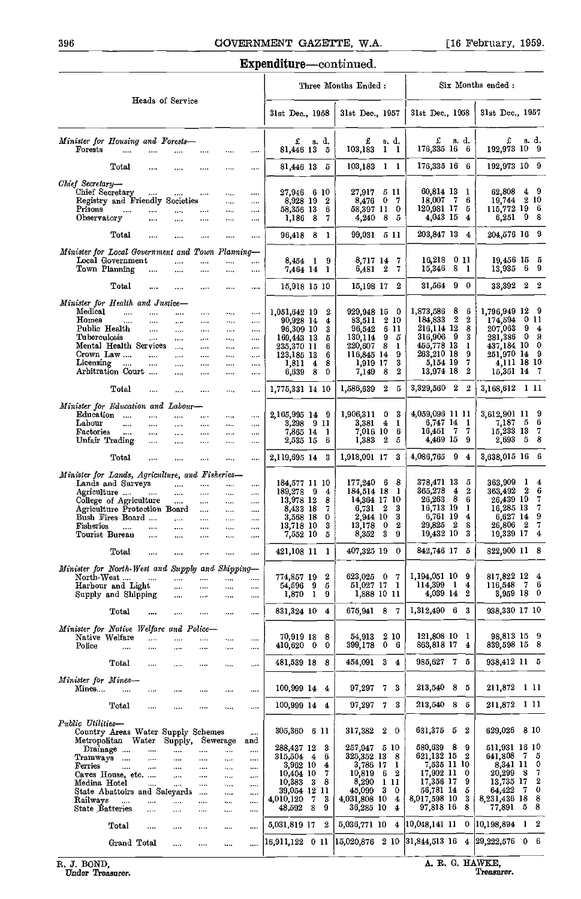#### 396 GOVERNMENT GAZETTE, W.A. [16 February, 1959.

#### Expenditure-continued.

|                                                                |                                   |                      |                                                                                                                                                    |                      |                                        |                                  |                                                                                                                             | Three Months Ended :                                                          | Six Months ended:                                                                      |                                                                    |  |  |
|----------------------------------------------------------------|-----------------------------------|----------------------|----------------------------------------------------------------------------------------------------------------------------------------------------|----------------------|----------------------------------------|----------------------------------|-----------------------------------------------------------------------------------------------------------------------------|-------------------------------------------------------------------------------|----------------------------------------------------------------------------------------|--------------------------------------------------------------------|--|--|
|                                                                |                                   |                      | Heads of Service                                                                                                                                   |                      |                                        |                                  | 31st Dec., 1958                                                                                                             | 31st Dec., 1957                                                               | 31st Dec., 1958                                                                        | 31st Dec., 1957                                                    |  |  |
| Minister for Housing and Forests-<br>Forests                   |                                   |                      | .                                                                                                                                                  | o e                  |                                        | $\cdots$                         | £<br>s. d.<br>81.446.13<br>-5                                                                                               | £<br>s. d.<br>$103,183$ 1 1                                                   | £<br>s. d.<br>176,335 16 6                                                             | £<br>s. d.<br>192,973 10 9                                         |  |  |
|                                                                | Total                             | $\cdots$             | $\cdots$                                                                                                                                           |                      |                                        | $\cdots$                         | 81,446 13 5                                                                                                                 | 103,183 1 1                                                                   | 176,335 16 6                                                                           | 192,973 10 9                                                       |  |  |
| Chief Secretary-                                               |                                   |                      |                                                                                                                                                    |                      |                                        |                                  |                                                                                                                             |                                                                               |                                                                                        |                                                                    |  |  |
| Prisons<br>Observatory                                         | Chief Secretary<br>$\cdots$       | $\cdots$<br>$\cdots$ | $\cdots$<br>Registry and Friendly Societies<br>$\cdots$                                                                                            | $\cdots$<br>$\cdots$ | $\cdots$<br><br>$\ldots$               | $\cdots$<br>$\cdots$<br>$\cdots$ | 27,946 610<br>2<br>8,928 19<br>6<br>58,356 13                                                                               | 27,917<br>511<br>$\mathbf{0}$<br>- 7<br>8,476<br>58,397 11<br>0<br>- 8<br>- 5 | 60.814 13 1<br>18,007 7<br>6<br>120.981 17<br>5<br>4,043 15<br>$\overline{\mathbf{4}}$ | $4\quad 9$<br>62,808<br>19,744 2 10<br>115,772 19 6<br>$6,251$ 9 8 |  |  |
|                                                                |                                   |                      |                                                                                                                                                    |                      | $\ldots$                               | $\cdots$                         | 1,186 8<br>7.                                                                                                               | 4,240                                                                         | 203,847 13 4                                                                           | 204,576 16 9                                                       |  |  |
|                                                                | Total                             | $\sim$               | $\cdots$                                                                                                                                           | $\cdots$             | $\cdots$                               |                                  | 96,418 8<br>- 1                                                                                                             | 99,031 5 11                                                                   |                                                                                        |                                                                    |  |  |
| Minister for Local Government and Town Planning-               | Local Government<br>Town Planning | $\cdots$             | $\cdots$<br>                                                                                                                                       | $\cdots$<br>$\cdots$ | $\cdots$<br>                           | <br>$\cdots$                     | 8,454 1 9<br>7,464 14 1                                                                                                     | 8,717 14<br>-7<br>6,481 2<br>7                                                | 16,218 0 11<br>15,346 8 1                                                              | 19,456 15 5<br>13,935 6 9                                          |  |  |
|                                                                | Total                             | $\cdots$             | $\cdots$                                                                                                                                           | $\cdots$             |                                        | $\cdots$                         | 15.918 15 10                                                                                                                | 15,198 17 2                                                                   | 31,564 9 0                                                                             | 33,392 2 2                                                         |  |  |
| Minister for Health and Justice-                               |                                   |                      |                                                                                                                                                    |                      |                                        |                                  |                                                                                                                             |                                                                               |                                                                                        |                                                                    |  |  |
| Medical                                                        | $\cdots$                          | $\cdots$             | $\ddotsc$                                                                                                                                          | $\cdots$             | $\ldots$                               | $\cdots$                         | 1.051.642 19<br>2                                                                                                           | 929,948 15 0                                                                  | 1,873,586 8<br>- 6                                                                     | 1,796,949 12 9                                                     |  |  |
| Homes                                                          | $\cdots$<br>Public Health         | $\sim 100$           | $\cdots$                                                                                                                                           |                      | $\cdots$                               | $\cdots$                         | 90,928 14<br>$\blacktriangleleft$<br>3<br>96,309 10                                                                         | 83,511<br>- 2 10<br>6 11<br>96,542                                            | 184,833 2<br>2<br>216,114 12<br>8                                                      | 174,594 0 11<br>207,063 9<br>$\overline{4}$                        |  |  |
|                                                                | Tuberculosis                      |                      | $\mathbf{r}_{\mathbf{r}}$ and $\mathbf{r}_{\mathbf{r}}$ .<br>$\sim$<br>$\frac{1}{2}$<br>$\mathbf{1}_{\mathbf{2},\mathbf{3},\mathbf{4},\mathbf{5}}$ | $\cdots$<br>$\cdots$ | $\cdots$<br>$\cdots$                   | $\cdots$<br>$\cdots$             | 169,443 13<br>5                                                                                                             | 130,114<br>-9<br>ő                                                            | 316,906 9<br>3                                                                         | 281,386 0 9                                                        |  |  |
|                                                                | Mental Health Services            |                      |                                                                                                                                                    | $\cdots$             | $\cdots$                               | $\cdots$                         | 235,370 11<br>6                                                                                                             | 220,607 8<br>1                                                                | 455,778 13<br>$\mathbf{I}$                                                             | 437,184 10 0                                                       |  |  |
| Licensing                                                      | Crown Law<br>$\cdots$             | $\cdots$             | $\cdots$<br>$\cdots$                                                                                                                               |                      |                                        | $\cdots$                         | 6<br>123,185 13<br>1,811<br>$\overline{\mathbf{4}}$<br>8                                                                    | 9<br>116,845 14<br>3<br>1,919 17                                              | 9<br>263,210 18<br>7<br>5.154 19                                                       | 251,970 14 9<br>4.111 18 10                                        |  |  |
|                                                                | Arbitration Court                 |                      | $\cdots$<br>$\cdots$                                                                                                                               | <br>                 | $\cdots$<br>                           | <br>                             | 6,639 8<br>0                                                                                                                | 2<br>7,149<br>-8                                                              | $\boldsymbol{2}$<br>13,974 18                                                          | 15,351 14 7                                                        |  |  |
|                                                                | Total                             | $\cdots$             |                                                                                                                                                    | $\cdots$             |                                        | $\cdots$                         | 1,775,331 14 10                                                                                                             | 1,586,639 2<br>5                                                              | 3,329,560 2<br>-2                                                                      | 3.168,612 1 11                                                     |  |  |
| Minister for Education and Labour-                             |                                   |                      |                                                                                                                                                    |                      |                                        |                                  |                                                                                                                             |                                                                               |                                                                                        |                                                                    |  |  |
|                                                                | Education                         | $\ddotsc$            | $\sim$                                                                                                                                             | $\cdots$             | $\cdots$                               | $\cdots$                         | 2,105,995 14 9                                                                                                              | 1,906,311 0<br>3                                                              | 4,059,096 11 11                                                                        | 3,612,901 11 9                                                     |  |  |
| Labour<br>Factories                                            | $\cdots$<br>$\cdots$              | $\cdots$<br>$\cdots$ | $\cdots$<br>$\cdots$                                                                                                                               | <br>$\cdots$         | $\cdots$<br>$\cdots$                   | $\cdots$<br>$\cdots$             | 3.298 9 11<br>7,865 14<br>$\mathbf{1}$                                                                                      | 3,381 4<br>1<br>6<br>7,016 10                                                 | 6.747 14 1<br>16.451 7 7                                                               | - 6<br>7,187 5<br>15,233 13<br>- 7                                 |  |  |
|                                                                | Unfair Trading                    | $\cdots$             | $\cdots$                                                                                                                                           | $\cdots$             | $\cdots$                               |                                  | 2,535 15<br>6                                                                                                               | 5<br>1,383 2                                                                  | 4,469 15 9                                                                             | 2,693 5<br>8                                                       |  |  |
|                                                                | Total                             | $\cdots$             | $\cdots$                                                                                                                                           | $\cdots$             |                                        |                                  | 2,119,695 14 3                                                                                                              | 1,918,091 17 3                                                                | 4,086.765 9<br>4                                                                       | 3,638,015 16 6                                                     |  |  |
| Minister for Lands, Agriculture, and Fisheries-                |                                   |                      |                                                                                                                                                    |                      |                                        |                                  |                                                                                                                             |                                                                               |                                                                                        |                                                                    |  |  |
|                                                                | Lands and Surveys                 |                      | $\cdots$                                                                                                                                           | $\cdots$             | $\cdots$                               | $\cdots$                         | 184,577 11 10                                                                                                               | $177,240$ 6 8                                                                 | 378,471 13 5                                                                           | 363,909 1<br>4                                                     |  |  |
|                                                                | Agriculture                       |                      | $\sim 10^{-11}$                                                                                                                                    | $\cdots$             | $\ddotsc$                              | $\cdots$                         | 189,278 9<br>4                                                                                                              | 184,514 18 1                                                                  | 365,278<br>42<br>26,263 8<br>6                                                         | 363,492 2<br>6<br>26,439 19<br>- 7                                 |  |  |
|                                                                |                                   |                      | College of Agriculture<br>Agriculture Protection Board                                                                                             | $\cdots$<br>$\sim$   | $\mathbf{r}_{\mathbf{r}}$<br>$\sim 10$ | $\cdots$<br>$\cdots$             | 13,978 12<br>8<br>7<br>8,433 18                                                                                             | 14,364 17 10<br>3<br>6,731 2                                                  | 16,713 19<br>1                                                                         | 7<br>16,285 13                                                     |  |  |
|                                                                | Bush Fires Board                  |                      | $\sim 10^{-10}$                                                                                                                                    | $\sim 100$           | $\ldots$                               | $\cdots$                         | 3,568 18<br>0                                                                                                               | 3<br>2,944 10                                                                 | 6.761 19<br>$\overline{4}$                                                             | 9<br>6,627 14                                                      |  |  |
| Fisheries                                                      | Tourist Bureau                    | $\cdots$             | $\sim$                                                                                                                                             |                      | $\ddotsc$                              |                                  | 3<br>13,718 10<br>5                                                                                                         | 2<br>13,178<br>$\mathbf 0$<br>3<br>9<br>8,352                                 | 29,825 2<br>8<br>19,432 10<br>3                                                        | 7<br>26,806 2<br>19,339 17<br>4                                    |  |  |
|                                                                |                                   | $\sim$ 1000 $\sim$   | $\cdots$                                                                                                                                           | $\cdots$             | $\cdots$                               |                                  | 7.552 10                                                                                                                    |                                                                               |                                                                                        |                                                                    |  |  |
|                                                                | Total                             |                      |                                                                                                                                                    | $\cdots$             |                                        | $\cdots$                         | 421,108 11 1                                                                                                                | 407,325 19 0                                                                  | $842,746$ 17 5                                                                         | 822,900 11 8                                                       |  |  |
| Minister for North-West and Supply and Shipping-<br>North-West |                                   |                      |                                                                                                                                                    |                      |                                        |                                  | 774,857 19<br>2                                                                                                             | 623,025 0 7                                                                   | 1,194,051 10 9                                                                         | 817,822 12 4                                                       |  |  |
|                                                                | Harbour and Light                 | $\sim$               | $\cdots$<br>                                                                                                                                       | <br>                 | <br>$\ddotsc$                          | <br>$\cdots$                     | 54,596 9<br>5.                                                                                                              | 51,027 17 1                                                                   | 114,399 1 4                                                                            | 116,548 7 6                                                        |  |  |
| Supply and Shipping                                            |                                   |                      | $\cdots$                                                                                                                                           | $\cdots$             |                                        | $\cdots$                         | 1,870 1<br>9                                                                                                                | 1,888 10 11                                                                   | 4,039 14 2                                                                             | 3,959 18 0                                                         |  |  |
|                                                                | Total                             |                      |                                                                                                                                                    | $\cdots$             |                                        | $\cdots$                         | 831, 324 10 4                                                                                                               | 675,941 8 7                                                                   | $1,312,490$ 6 3                                                                        | 938,330 17 10                                                      |  |  |
| Minister for Native Welfare and Police-                        |                                   |                      |                                                                                                                                                    |                      |                                        |                                  |                                                                                                                             |                                                                               |                                                                                        |                                                                    |  |  |
| Police                                                         | Native Welfare<br>                | <br>$\cdots$         | <br>                                                                                                                                               | <br>                 | <br>                                   | $\cdots$<br>                     | 70,919 18<br>8<br>410,620 0<br>0                                                                                            | 2 10<br>54,913<br>0 <sub>0</sub><br>399,178                                   | 121,808 10 1<br>863,818 17 4                                                           | 98,813 15 9<br>839,598 15 8                                        |  |  |
|                                                                |                                   |                      |                                                                                                                                                    |                      |                                        |                                  |                                                                                                                             |                                                                               |                                                                                        |                                                                    |  |  |
|                                                                | Total                             | $\cdots$             | $\cdots$                                                                                                                                           | $\cdots$             |                                        | $\cdots$                         | 481,539 18<br>8                                                                                                             | 454,091 3 4                                                                   | 985,627 7 5                                                                            | 938,412 11 5                                                       |  |  |
| Minister for Mines-<br>Mines                                   | $\ddotsc$                         |                      |                                                                                                                                                    |                      |                                        |                                  | 100,999 14<br>$\triangleq$                                                                                                  | 97,297<br>3<br>7.                                                             | 213,540 8 5                                                                            | 211,872 1 11                                                       |  |  |
|                                                                |                                   |                      |                                                                                                                                                    |                      |                                        |                                  |                                                                                                                             |                                                                               |                                                                                        |                                                                    |  |  |
|                                                                | Total                             |                      |                                                                                                                                                    |                      |                                        |                                  | 100,999 14 4                                                                                                                | 97,297 7<br>3                                                                 | 213,540 8 5                                                                            | 211,872 1 11                                                       |  |  |
| Public Utilities-                                              |                                   |                      | Country Areas Water Supply Schemes<br>Metropolitan Water Supply,                                                                                   |                      | Sewerage                               | $\cdots$<br>and                  | 305,360 6 11                                                                                                                | 317,382<br>$2\quad 0$                                                         | 631,375 5<br>- 2                                                                       | 629,026 810                                                        |  |  |
|                                                                | Drainage                          | $\cdots$             | $\cdots$                                                                                                                                           |                      |                                        |                                  | 288,437 12<br>з                                                                                                             | 257,947 5 10                                                                  | 580,639 8<br>- 9                                                                       | 511,931 16 10                                                      |  |  |
| Tramways                                                       |                                   | $\cdots$             |                                                                                                                                                    | $\cdots$             |                                        |                                  | 315,504 4<br>6                                                                                                              | 325,352 13 8                                                                  | 621,132 15 2                                                                           | 641,808 7 5                                                        |  |  |
| Ferries<br>Caves House, etc.                                   | $\ddotsc$                         | $\cdots$             | $\cdots$                                                                                                                                           |                      | 1.1.1                                  | $\cdots$                         | 3,962 10<br>4<br>10,404 10<br>7                                                                                             | 3,786 17<br>-1<br>10,819<br>62                                                | 7,535 11 10<br>17,902 11 0                                                             | 8,341 11<br>0<br>20,299 8<br>7                                     |  |  |
| Medina Hotel                                                   |                                   |                      | $\cdots$<br>                                                                                                                                       | <br>                 | $\cdots$<br>1.11                       | $\cdots$<br>                     | $10,383$ 3<br>-8                                                                                                            | 8,290<br>-1 11                                                                | 17,356 17<br>-9                                                                        | 2<br>13,735 17                                                     |  |  |
|                                                                |                                   |                      | State Abattoirs and Saleyards                                                                                                                      |                      | $\cdots$                               | $\cdots$                         | 39,054 12 11                                                                                                                | 45,099<br>3.<br>0                                                             | 56,781 14<br>-5                                                                        | $\bf{0}$<br>64,422<br>- 7                                          |  |  |
| Railways                                                       | $\ldots$                          |                      | $\cdots$                                                                                                                                           |                      |                                        |                                  | 4,010,120 7<br>-3<br>48,592 8<br>-9                                                                                         | 4,031,808 10<br>4<br>36,285 10<br>4                                           | 8,017,598 10<br>-3<br>97,818 16 8                                                      | 8<br>8,231,436 18<br>77,891 5<br>8                                 |  |  |
| State Batteries                                                |                                   | $\cdots$             | $\cdots$                                                                                                                                           |                      |                                        |                                  |                                                                                                                             |                                                                               |                                                                                        |                                                                    |  |  |
|                                                                | Total                             |                      | $\cdots$                                                                                                                                           |                      |                                        |                                  | 5,031,819 17<br>2                                                                                                           | 5,036,771 10                                                                  | 4 10,048,141 11<br>$\mathbf{0}$                                                        | $ 10,198,894 \quad 1 \quad 2$                                      |  |  |
|                                                                | Grand Total                       |                      | $\cdots$                                                                                                                                           |                      |                                        | $\cdots$                         | $\begin{array}{ccccccccc} 16,911,122 & 0 & 11 & 15,020,876 & 2 & 10 & 31,844,513 & 16 & 4 & 29,222,576 & 0 & 6 \end{array}$ |                                                                               |                                                                                        |                                                                    |  |  |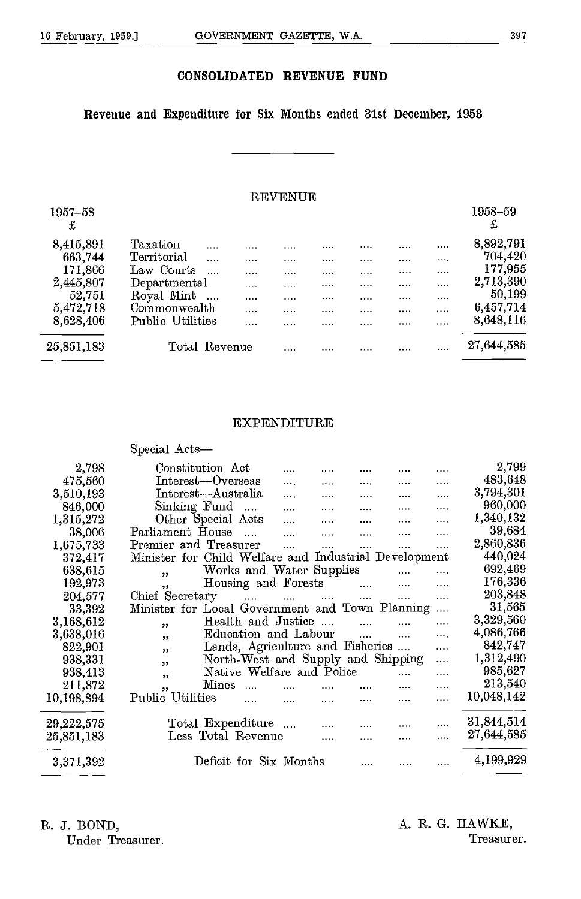#### CONSOLIDATED REVENUE FUND

#### Revenue and Expenditure for Six Months ended 31st December, 1958

#### REVENUE

| 1957-58<br>£ |                        |          |   |   |       |          | 1958-59<br>£ |  |
|--------------|------------------------|----------|---|---|-------|----------|--------------|--|
| 8,415,891    | Taxation<br>1.1.1      |          | . |   | <br>. |          | 8,892,791    |  |
| 663,744      | <b>Territorial</b><br> |          |   |   | <br>  |          | 704,420      |  |
| 171,866      | Law Courts             |          |   |   | <br>  |          | 177,955      |  |
| 2,445,807    | Departmental           | $\cdots$ |   | . | <br>. |          | 2,713,390    |  |
| 52,751       | Royal Mint<br>$\cdots$ |          |   |   | <br>  |          | 50,199       |  |
| 5,472,718    | Commonwealth           | $\cdots$ |   |   | <br>  |          | 6,457,714    |  |
| 8,628,406    | Public Utilities       |          | . | . | <br>. | $\cdots$ | 8,648,116    |  |
| 25,851,183   | Total Revenue          |          | . | . | <br>. | .        | 27,644,585   |  |

#### EXPENDITURE

Special Acts-

| 2,798            | Constitution Act<br>$\cdots$<br>.                                                                                                     | 2,799      |
|------------------|---------------------------------------------------------------------------------------------------------------------------------------|------------|
| 475,560          | Interest-Overseas<br>$\cdots$<br>$\sim$ $\sim$ $\sim$<br>$\ldots$ .<br>.<br>.                                                         | 483,648    |
| 3,510,193        | Interest-Australia<br>$\cdots$<br>$\cdots$<br>$\cdots$<br>$\cdots$<br>$\cdots$                                                        | 3,794,301  |
| 846,000          | $\text{Sinking Fund}$<br>$\ldots$<br><br>$\cdots$<br>$\cdots$                                                                         | 960,000    |
| 1,315,272        | Other Special Acts<br>$\cdots$<br>$\ldots$ .<br>$\cdots$<br>                                                                          | 1,340,132  |
| 38,006           | Parliament House<br>$\mathbf{1}$<br>$\cdots$<br>$\cdots$<br>$\cdots$<br>$\cdots$                                                      | 39,684     |
| 1,675,733        | Premier and Treasurer<br>$\cdots$<br>$\cdots$<br>$\cdots$<br>$\cdots$<br>                                                             | 2,860,836  |
| 372,417          | Minister for Child Welfare and Industrial Development                                                                                 | 440,024    |
| 638,615          | Works and Water Supplies<br>.<br>,                                                                                                    | 692,469    |
| 192,973          | Housing and Forests<br>$\ldots$<br>$\cdots$<br>, 1                                                                                    | 176,336    |
| 204,577          | Chief Secretary<br>$\mathcal{L}_{\text{max}}$ , and $\mathcal{L}_{\text{max}}$<br>$\cdots$<br>and the company<br>$\ldots$<br>$\cdots$ | 203,848    |
| 33,392           | Minister for Local Government and Town Planning<br>$\cdots$                                                                           | 31,565     |
| 3,168,612        | Health and Justice<br>.<br>, ,                                                                                                        | 3,329,560  |
| 3,638,016        | Education and Labour<br>$\cdots$<br>$\cdots$<br>$\cdots$<br>, ,                                                                       | 4,086,766  |
| 822,901          | Lands, Agriculture and Fisheries<br><br>, ,                                                                                           | 842,747    |
| 938, 331         | North-West and Supply and Shipping<br><br>, ,                                                                                         | 1,312,490  |
| 938,413          | Native Welfare and Police<br>$\cdots$<br>, ,                                                                                          | 985,627    |
| 211,872          | Mines<br>$\cdots$<br>,,                                                                                                               | 213,540    |
| 10,198,894       | Public Utilities<br><br>$\cdots$<br>$\cdots$                                                                                          | 10,048,142 |
| 29,222,575       | Total Expenditure<br>$\cdots$<br>$\cdots$                                                                                             | 31,844,514 |
| $25,\!851,\!183$ | Less Total Revenue<br>$\cdots$<br>.                                                                                                   | 27,644,585 |
| 3,371,392        | Deficit for Six Months                                                                                                                | 4,199,929  |
|                  |                                                                                                                                       |            |

i.

R. J. BOND, A. R. G HAWICE,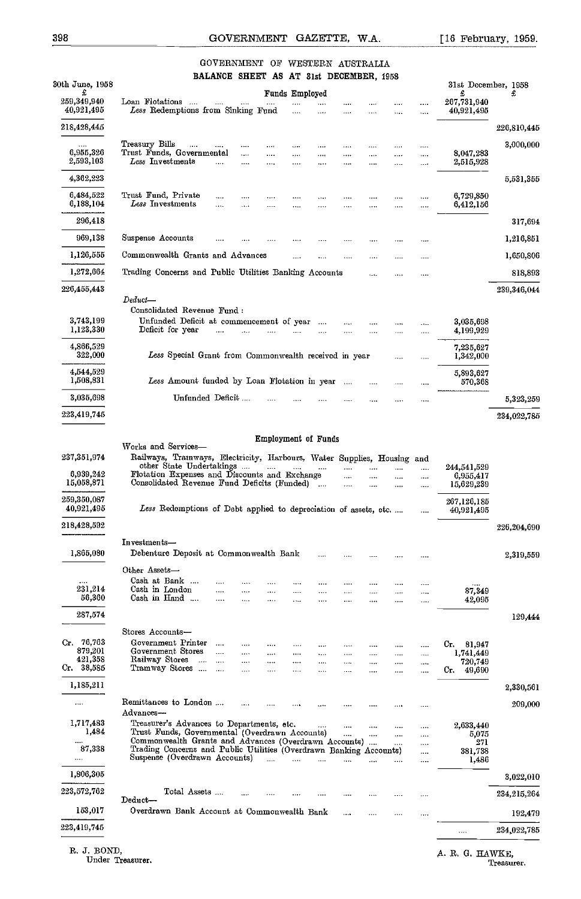#### GOVERNMENT OF WESTERN AUSTRALIA BALANCE SHEET AS AT 31st DECEMBER, 1958

| 30th June, 1958                                                     |                                                                                                                                                                                                                                                                         |                                                          |                          |                                      |                                  |                                  |                          |                          |                                  | 31st December, 1958                                   |             |
|---------------------------------------------------------------------|-------------------------------------------------------------------------------------------------------------------------------------------------------------------------------------------------------------------------------------------------------------------------|----------------------------------------------------------|--------------------------|--------------------------------------|----------------------------------|----------------------------------|--------------------------|--------------------------|----------------------------------|-------------------------------------------------------|-------------|
| £<br>259,349,940<br>40,921,495                                      | Loan Flotations<br>Less Redemptions from Sinking Fund                                                                                                                                                                                                                   | $\sim$ $\sim$<br>$\cdots$                                | $\ldots$ .               | Funds Employed<br>$\cdots$<br>$\sim$ | $\cdots$<br>$\cdots$             | $\cdots$<br>$\cdots$             | <br>$\cdots$             | <br>                     | .<br>$\ddotsc$                   | £<br>267,731,940<br>40,921,495                        | £           |
| 218,428,445                                                         |                                                                                                                                                                                                                                                                         |                                                          |                          |                                      |                                  |                                  |                          |                          |                                  |                                                       | 226,810,445 |
| 6,955,326<br>2,593,103                                              | Treasury Bills<br>$\cdots$<br>Trust Funds, Governmental<br>Less Investments                                                                                                                                                                                             | $\cdots$<br>$\cdots$<br>$\ldots$<br>$\cdots$<br>$\cdots$ | $\cdots$<br><br>$\cdots$ | $\cdots$<br>$\cdots$<br>$\cdots$     | $\cdots$<br>$\cdots$<br>$\cdots$ | <br>$\cdots$<br>$\cdots$         | <br><br>                 | <br><br>                 | <br><br>                         | 8,047,283<br>2,515,928                                | 3,000,000   |
| 4,362,223                                                           |                                                                                                                                                                                                                                                                         |                                                          |                          |                                      |                                  |                                  |                          |                          |                                  |                                                       | 5,531,355   |
| 6,484,522<br>6,188,104                                              | Trust Fund, Private<br>Less Investments                                                                                                                                                                                                                                 | $\cdots$<br>$\cdots$<br><br>                             | $\cdots$                 | $\cdots$<br>                         | $\sim$<br>                       | $\cdots$<br>                     | <br>                     | $\cdots$<br>.            | $\cdots$<br>                     | 6,729,850<br>6,412,156                                |             |
| 296,418                                                             |                                                                                                                                                                                                                                                                         |                                                          |                          |                                      |                                  |                                  |                          |                          |                                  |                                                       | 317,694     |
| 969,138                                                             | Suspense Accounts                                                                                                                                                                                                                                                       |                                                          |                          | $\cdots$                             | $\cdots$                         | $\cdots$                         |                          |                          |                                  |                                                       | 1,216,851   |
| 1,126,555                                                           | Commonwealth Grants and Advances                                                                                                                                                                                                                                        |                                                          |                          |                                      | .                                |                                  |                          |                          |                                  |                                                       | 1,650,806   |
| 1,272,664                                                           | Trading Concerns and Public Utilities Banking Accounts                                                                                                                                                                                                                  |                                                          |                          |                                      |                                  |                                  | $\sim 100$               | $\cdots$                 | $\cdots$                         |                                                       | 818,893     |
| 226,455,443                                                         |                                                                                                                                                                                                                                                                         |                                                          |                          |                                      |                                  |                                  |                          |                          |                                  |                                                       | 239,346,044 |
| 3,743,199<br>1,123,330<br>4,866,529                                 | Deduct<br>Consolidated Revenue Fund:<br>Unfunded Deficit at commencement of year<br>Deficit for year                                                                                                                                                                    | <br>$\cdots$                                             | $\ldots$                 | $\cdots$                             | $\cdots$                         | $\ldots$ .<br>$\cdots$           | <br>                     | $\cdots$<br>$\cdots$     | $\cdots$<br>$\ldots$             | 3,035,698<br>4,199,929                                |             |
| 322,000                                                             | Less Special Grant from Commonwealth received in year                                                                                                                                                                                                                   |                                                          |                          |                                      |                                  |                                  |                          | $\cdots$                 | $\cdots$                         | 7,235,627<br>1,342,000                                |             |
| 4,544,529<br>1,508,831                                              | Less Amount funded by Loan Flotation in year                                                                                                                                                                                                                            |                                                          |                          |                                      |                                  |                                  | $\cdots$                 | $\cdots$                 | $\cdots$                         | 5,893,627<br>570,368                                  |             |
| 3,035,698                                                           | Unfunded Deficit                                                                                                                                                                                                                                                        |                                                          |                          |                                      |                                  |                                  | $\cdots$                 | $\cdots$                 |                                  |                                                       | 5,323,259   |
| 223,419,745                                                         |                                                                                                                                                                                                                                                                         |                                                          |                          |                                      |                                  |                                  |                          |                          |                                  |                                                       | 234,022,785 |
| 237,351,974<br>6,939,242<br>15,058,871<br>259,350,087<br>40,921,495 | Railways, Trainways, Electricity, Harbours, Water Supplies, Housing and<br>other State Undertakings<br>Flotation Expenses and Discounts and Exchange<br>Consolidated Revenue Fund Deficits (Funded)<br>Less Redemptions of Debt applied to depreciation of assets, etc. |                                                          | and the                  |                                      | and the state                    | $\cdots$<br>$\cdots$<br>$\cdots$ | $\cdots$<br><br>$\cdots$ | $\cdots$<br><br>$\cdots$ | $\cdots$<br>$\cdots$<br>$\cdots$ | 244,541,529<br>6,955,417<br>15,629,239<br>267,126,185 |             |
| 218,428,592                                                         |                                                                                                                                                                                                                                                                         |                                                          |                          |                                      |                                  |                                  |                          |                          | $\cdots$                         | 40,921,495                                            | 226,204,690 |
|                                                                     | Investments-                                                                                                                                                                                                                                                            |                                                          |                          |                                      |                                  |                                  |                          |                          |                                  |                                                       |             |
| 1,865,080                                                           | Debenture Deposit at Commonwealth Bank                                                                                                                                                                                                                                  |                                                          |                          |                                      | $\cdots$                         |                                  |                          |                          | $\cdots$                         |                                                       | 2,319,559   |
|                                                                     | Other Assets-                                                                                                                                                                                                                                                           |                                                          |                          |                                      |                                  |                                  |                          |                          |                                  |                                                       |             |
| 231,214<br>56,360                                                   | Cash at Bank<br>Cash in London<br>Cash in Hand                                                                                                                                                                                                                          | $\cdots$<br><br><br><br><br>.                            | <br><br>                 | <br><br>$\cdots$                     | <br>.<br>.                       | <br>$\cdots$                     | <br>                     | $\cdots$<br>             | <br><br>$\cdots$                 | 87,349<br>42,095                                      |             |
| 287,574                                                             |                                                                                                                                                                                                                                                                         |                                                          |                          |                                      |                                  |                                  |                          |                          |                                  |                                                       | 129,444     |
|                                                                     | Stores Accounts-                                                                                                                                                                                                                                                        |                                                          |                          |                                      |                                  |                                  |                          |                          |                                  |                                                       |             |
| Cr. 76,763<br>879,201                                               | Government Printer<br>Government Stores                                                                                                                                                                                                                                 | $\cdots$<br>$\sim$<br>                                   | $\cdots$<br>             | $\cdots$<br>$\cdots$                 | <br>$1 - 1$                      | <br>$\cdots$                     | <br>$\cdots$             | $\cdots$<br>             | $\cdots$<br>$\cdots$             | Cr. 81,947<br>1,741,449                               |             |
| 421,358<br>Cr. 38.585                                               | Railway Stores<br>$\sim$<br>Tramway Stores                                                                                                                                                                                                                              | $\ddotsc$<br>.<br>$\sim$<br>$\cdots$                     | $\cdots$<br>$\cdots$     | $\cdots$<br>$\cdots$                 | <br>                             |                                  | <br>                     | <br>                     | $\cdots$                         | 720,749<br>Cr.<br>49,690                              |             |
| 1,185,211                                                           |                                                                                                                                                                                                                                                                         |                                                          |                          |                                      |                                  |                                  |                          |                          | $\cdots$                         |                                                       | 2,330,561   |
|                                                                     | Remittances to London                                                                                                                                                                                                                                                   |                                                          |                          |                                      |                                  |                                  |                          |                          |                                  |                                                       | 209,000     |
| 1,717,483<br>1,484                                                  | Advances—<br>Treasurer's Advances to Departments, etc.<br>Trust Funds, Governmental (Overdrawn Accounts)                                                                                                                                                                |                                                          |                          |                                      | $\cdots$                         | $\cdots$<br>                     | <br>                     | $\cdots$<br>.            |                                  | 2,633,440<br>5,075                                    |             |
| <br>87,338                                                          | Commonwealth Grants and Advances (Overdrawn Accounts)<br>Trading Concerns and Public Utilities (Overdrawn Banking Accounts)<br>Suspense (Overdrawn Accounts)                                                                                                            |                                                          |                          |                                      |                                  |                                  |                          |                          | <br><br>                         | 271<br>381,738                                        |             |
| $\cdots$<br>1,806,305                                               |                                                                                                                                                                                                                                                                         |                                                          | $\ddotsc$                | $\cdots$                             |                                  | $\cdots$                         |                          |                          |                                  | 1,486                                                 | 3,022,010   |
| 223,572,762                                                         | Total Assets                                                                                                                                                                                                                                                            |                                                          |                          |                                      |                                  |                                  |                          |                          | $\cdots$                         |                                                       | 234,215,264 |
| 153,017                                                             | Deduct<br>Overdrawn Bank Account at Commonwealth Bank                                                                                                                                                                                                                   |                                                          |                          |                                      |                                  |                                  |                          |                          | $\cdots$                         |                                                       | 192,479     |
| 223,419,745                                                         |                                                                                                                                                                                                                                                                         |                                                          |                          |                                      |                                  |                                  |                          |                          |                                  | $\cdots$                                              | 234,022,785 |
|                                                                     |                                                                                                                                                                                                                                                                         |                                                          |                          |                                      |                                  |                                  |                          |                          |                                  |                                                       |             |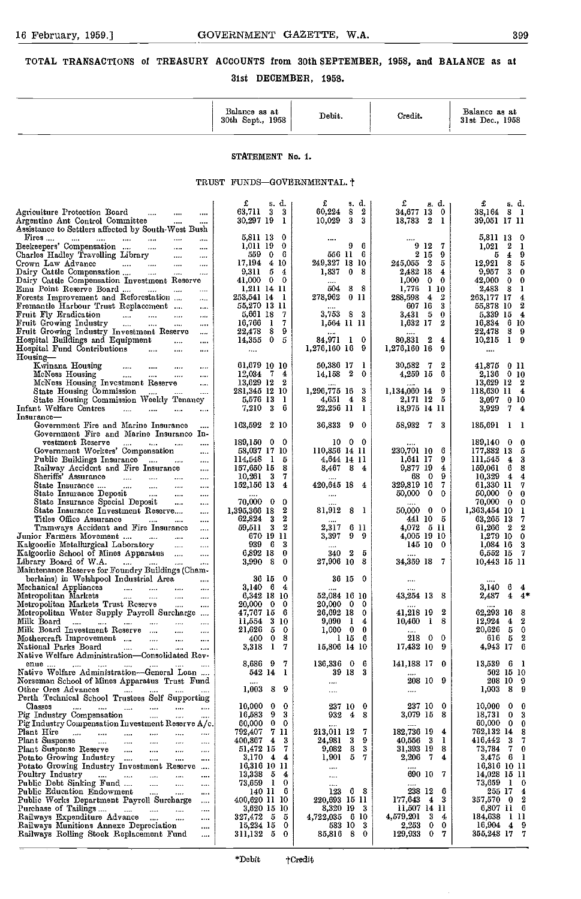#### TOTAL TRANSACTIONS of TREASURY ACCOUNTS from 30th SEPTEMBER, 1958, and BALANCE as at 31st DECEMBER, 1958.

| STATEMENT No. 1.<br>TRUST FUNDS-GOVERNMENTAL. †<br>£<br>s. d.<br>£<br>s. d.<br>£<br>£<br>s. d.<br>s. d.<br>63,711 3<br>- 3<br>60,224<br>-8<br>- 2<br>34,677 13 0<br>38,164 8 1<br>Agriculture Protection Board<br>$\ldots$<br>$\cdots$<br>$\cdots$<br>30,297 19 1<br>3 <sub>3</sub><br>18,783 2 1<br>10,029<br>39,051 17 11<br>Argentine Ant Control Committee<br>$\cdots$<br><br>Assistance to Settlers affected by South-West Bush<br>5,811 13<br>5,811 13 0<br>Fires<br>-0<br>$\sim$<br><b>Contract Contract</b><br>$\ldots$<br>$\cdots$<br>$\cdots$<br>9 6<br>9 12 7<br>$\boldsymbol{2}$<br>Beekeepers' Compensation<br>$\bf{0}$<br>1,011 19<br>1,021<br>- 1<br>$\ldots$<br>$\cdots$<br>556 11 6<br>559 0 6<br>2159<br>4<br>Charles Hadley Travelling Library<br>-9<br>5<br>$\sim 100$<br>$\cdots$<br>249,327 18 10<br>$\mathbf{2}$<br>$17,194$ 4 10<br>12,921<br>-8<br>Crown Law Advance<br>245,055<br>-5<br>- 5<br>المتناول المتنا<br>$\mathbf{r}$<br>$\cdots$<br>2,482 18<br>3<br>9,311<br>54<br>1,837<br>0 <sub>8</sub><br>9,957<br>$\bf{0}$<br>4<br>$\ldots$<br>$\cdots$<br>Dairy Cattle Compensation Investment Reserve<br>$41,000 \quad 0 \quad 0$<br>1,000<br>$0\quad 0$<br>42,000<br>$\mathbf{0}$<br>$\bf{0}$<br>504<br>88<br>Emu Point Reserve Board<br>1,211 14 11<br>1,776<br>110<br>2,483<br>-8<br>1<br>$\sim$ $\sim$<br>$\cdots$<br>278,962<br>011<br>288,598<br>$4 \quad 2$<br>Forests Improvement and Reforestation<br>253,541 14 1<br>263,177 17<br>4<br><br>55,270 13 11<br>607 16 3<br>2<br>Fremantle Harbour Trust Replacement<br>55,878 10<br>$\cdots$<br>3,753<br>83<br>Fruit Fly Eradication<br>5,661 18<br>-7<br>3,431<br>$\overline{5}$<br>5,339 15 4<br>$\mathbf{0}$<br>$\mathbf{r}$ and $\mathbf{r}$ are the set of $\mathbf{r}$<br>$\cdots$<br>$\cdots$<br>16,766<br>7.<br>1,564 11 11<br>$1,632$ 17 2<br>Fruit Growing Industry<br>$\mathbf{1}$<br>16,834 6 10<br>$\ldots$<br><b>Seat College</b><br><br>$\cdots$<br>8<br>-9<br>89<br>Fruit Growing Industry Investment Reserve<br>22,478<br>22,478<br>$\cdots$<br>$14,355$ 0 5<br>84,971<br>$1\quad0$<br>80,831<br>2<br>19<br>Hospital Buildings and Equipment<br>$\overline{4}$<br>10,215<br>$\cdots$<br>$\cdots$<br>1,276,160 16 9<br>Hospital Fund Contributions<br>1,276,160 16<br>9<br>$\ldots$ .<br>$\cdots$<br>$\ddotsc$<br>$\cdots$<br>$\cdots$<br>Housing-<br>61,679 10 10<br>50,386 17 1<br>30,582 7<br>-2<br>Kwinana Housing<br>41,875<br>0 11<br>$\ldots$ .<br>$\cdots$<br>$\cdots$<br><br>12,034<br>14,158 2<br>4,259 15 6<br>McNess Housing<br>$\overline{4}$<br>$\bf{0}$<br>2,136 0 10<br>- 7 -<br>$\ldots$<br>$\ldots$<br>$\cdots$<br>$\cdots$<br>13,629 12 2<br>13.629 12 2<br>McNess Housing Investment Reserve<br><br>1,296,775 16 3<br>State Housing Commission<br>281,345 12 10<br>1,134,060 14 9<br>118,630 11 4<br>$\cdots$<br>5,576 13 1<br>4,651 4 8<br>2,171 12 5<br>State Housing Commission Weekly Tenancy<br>$3,097$ 0 10<br>22,256 11 1<br>Infant Welfare Centres<br>7,210 3 6<br>18,975 14 11<br>3,929 7 4<br>$\cdots$<br><br>Insurance-<br>Government Fire and Marine Insurance<br>163,592 2 10<br>36,833<br>90<br>58,932<br>73<br>185,691 1 1<br>$\cdots$<br>Government Fire and Marine Insuranco In-<br>1000<br>vestment Reserve<br>$189,150 \quad 0 \quad 0$<br>$189,140 \quad 0 \quad 0$<br>$\cdots$<br>$\sim$ $\sim$<br><br>110,856 14 11<br>230,701 10 6<br>Government Workers' Compensation<br>58,037 17 10<br>177,882 13<br>-5<br>$114,548$ 1 5<br>4,644 14 11<br>1,641 17 9<br>111,545 4 3<br>Public Buildings Insurance<br>$\cdots$<br><br>Railway Accident and Fire Insurance<br>157,650 15 8<br>8,467 8 4<br>9,877 19<br>4<br>159,061 6<br>8<br>$\cdots$<br>$10,261$ 3<br>Sheriffs' Assurance<br>-7<br>680<br>9<br>10,329<br>44<br>$\mathbf{r}$<br>$\sim$<br><br><br>152,156 13 4<br>420,645 18 4<br>329,819 16<br>7<br>61,330 11 7<br>State Insurance<br>and the same<br>$\cdots$<br><br>50,000 0<br>State Insurance Deposit<br>0<br>50,000 0<br>-0<br>$\cdots$<br>$\cdots$<br>$\cdots$<br>$\cdots$<br><br>70,000 0<br>$70,000 \quad 0 \quad 0$<br>State Insurance Special Deposit<br>-0<br>$\cdots$<br>$\cdots$<br>State Insurance Investment Reserve<br>-2<br>81,912<br>50,000 0 0<br>1,395,366 18<br>81<br>1,363,454 10 1<br><br>$\overline{2}$<br>Titles Office Assurance<br>62,824 3<br>441 10 5<br>63,265 13 7<br>$\sim$ $\sim$<br>$\cdots$<br>$\cdots$<br>.<br>- 3 - 2<br>2,317<br>6 11<br>4,072 5 11<br>61,266 2 2<br>Tramways Accident and Fire Insurance<br>59,511<br>$\ldots$<br>Junior Farmers Movement<br>670 19 11<br>3,397<br>4,005 19 10<br>99<br>$1,279$ 10 0<br><b>Contract Contract</b><br>$\cdots$<br>$\cdots$<br>Kalgoorlie Metallurgical Laboratory<br>939 6<br>3<br>145100<br>$1.084$ 16 3<br>$\cdots$<br><br><br>Kalgoorlie School of Mines Apparatus<br>6,892 18 0<br>340 2 5<br>6,552 15 7<br>$\cdots$<br>3,990 8<br>27,906 10 8<br>Library Board of W.A.<br>0<br>34,359 18 7<br>10,443 15 11<br>and a state of the state of<br><br>Maintenance Reserve for Foundry Buildings (Cham-<br>36 15 0<br>$36$ 15 0<br>berlains) in Welshpool Industrial Area<br><br>$\cdots$<br><br>3,140<br>Mechanical Appliances<br>$3,140 \quad 6 \quad 4$<br>6<br>4<br>$\mathbf{r}$ and $\mathbf{r}$ are all $\mathbf{r}$<br>$\cdots$<br><br>$\cdots$<br>2,487<br>Metropolitan Markets<br>6,342 18 10<br>43,254 13 8<br>52,084 16 10<br>4<br>4*<br>and the company<br>$\cdots$<br><br>Metropolitan Markets Trust Reserve<br>20,000 0<br>- 0<br>20,000 0 0<br>$\cdots$<br>$\cdots$<br>41,218 19 2<br>62,293 16<br>47,767 15 6<br>26,692 18 0<br>- 8<br>Metropolitan Water Supply Payroll Surcharge<br>$\sim$<br>9,090 1<br>$10,460$ 1 8<br>12,924<br>$4\quad 2$<br>Milk Board<br>11,554 3 10<br>4<br><b>Sales Control</b><br>and the most of<br>$\ldots$ .<br>$\cdots$<br><br>Milk Board Investment Reserve<br>21,626<br>50<br>$1,000 \quad 0$<br>20,626<br>50<br>0<br>$\cdots$<br><br>$0\quad 0$<br>Mothercraft Improvement<br>$400 \t 0 \t 8$<br>$1\,15\,6$<br>218<br>616 5 2<br>$\mathcal{L} = \mathcal{L}$<br>$\cdots$<br><br>17,432 10 9<br>3,318 1 7<br>15,806 14 10<br>4,943 17 6<br>National Parks Board<br>$\sim$ $\sim$ $\sim$<br>$\cdots$<br><br><br>Native Welfare Administration-Consolidated Rev-<br>8,686 9<br>$136,336$ 0 6<br>141,188 17 0<br>13,539<br>61<br>7<br>enue<br>$\cdots$<br>Native Welfare Administration-General Loan<br>542 14 1<br>39 18 3<br>502 15 10<br>208 10 9<br>208 10 9<br>Norseman School of Mines Apparatus Trust Fund<br>$\cdots$ |  | Balance as at<br>30th Sept., 1958 | Debit. | Credit. | Balance as at<br>31st Dec., 1958 |  |  |  |  |  |  |
|-------------------------------------------------------------------------------------------------------------------------------------------------------------------------------------------------------------------------------------------------------------------------------------------------------------------------------------------------------------------------------------------------------------------------------------------------------------------------------------------------------------------------------------------------------------------------------------------------------------------------------------------------------------------------------------------------------------------------------------------------------------------------------------------------------------------------------------------------------------------------------------------------------------------------------------------------------------------------------------------------------------------------------------------------------------------------------------------------------------------------------------------------------------------------------------------------------------------------------------------------------------------------------------------------------------------------------------------------------------------------------------------------------------------------------------------------------------------------------------------------------------------------------------------------------------------------------------------------------------------------------------------------------------------------------------------------------------------------------------------------------------------------------------------------------------------------------------------------------------------------------------------------------------------------------------------------------------------------------------------------------------------------------------------------------------------------------------------------------------------------------------------------------------------------------------------------------------------------------------------------------------------------------------------------------------------------------------------------------------------------------------------------------------------------------------------------------------------------------------------------------------------------------------------------------------------------------------------------------------------------------------------------------------------------------------------------------------------------------------------------------------------------------------------------------------------------------------------------------------------------------------------------------------------------------------------------------------------------------------------------------------------------------------------------------------------------------------------------------------------------------------------------------------------------------------------------------------------------------------------------------------------------------------------------------------------------------------------------------------------------------------------------------------------------------------------------------------------------------------------------------------------------------------------------------------------------------------------------------------------------------------------------------------------------------------------------------------------------------------------------------------------------------------------------------------------------------------------------------------------------------------------------------------------------------------------------------------------------------------------------------------------------------------------------------------------------------------------------------------------------------------------------------------------------------------------------------------------------------------------------------------------------------------------------------------------------------------------------------------------------------------------------------------------------------------------------------------------------------------------------------------------------------------------------------------------------------------------------------------------------------------------------------------------------------------------------------------------------------------------------------------------------------------------------------------------------------------------------------------------------------------------------------------------------------------------------------------------------------------------------------------------------------------------------------------------------------------------------------------------------------------------------------------------------------------------------------------------------------------------------------------------------------------------------------------------------------------------------------------------------------------------------------------------------------------------------------------------------------------------------------------------------------------------------------------------------------------------------------------------------------------------------------------------------------------------------------------------------------------------------------------------------------------------------------------------------------------------------------------------------------------------------------------------------------------------------------------------------------------------------------------------------------------------------------------------------------------------------------------------------------------------------------------------------------------------------------------------------------------------------------------------------------------------------------------------------------------------------------------------------------------------------------------------------------------------------------------------------------------------------------------------|--|-----------------------------------|--------|---------|----------------------------------|--|--|--|--|--|--|
|                                                                                                                                                                                                                                                                                                                                                                                                                                                                                                                                                                                                                                                                                                                                                                                                                                                                                                                                                                                                                                                                                                                                                                                                                                                                                                                                                                                                                                                                                                                                                                                                                                                                                                                                                                                                                                                                                                                                                                                                                                                                                                                                                                                                                                                                                                                                                                                                                                                                                                                                                                                                                                                                                                                                                                                                                                                                                                                                                                                                                                                                                                                                                                                                                                                                                                                                                                                                                                                                                                                                                                                                                                                                                                                                                                                                                                                                                                                                                                                                                                                                                                                                                                                                                                                                                                                                                                                                                                                                                                                                                                                                                                                                                                                                                                                                                                                                                                                                                                                                                                                                                                                                                                                                                                                                                                                                                                                                                                                                                                                                                                                                                                                                                                                                                                                                                                                                                                                                                                                                                                                                                                                                                                                                                                                                                                                                                                                                                                                                                                                   |  |                                   |        |         |                                  |  |  |  |  |  |  |
|                                                                                                                                                                                                                                                                                                                                                                                                                                                                                                                                                                                                                                                                                                                                                                                                                                                                                                                                                                                                                                                                                                                                                                                                                                                                                                                                                                                                                                                                                                                                                                                                                                                                                                                                                                                                                                                                                                                                                                                                                                                                                                                                                                                                                                                                                                                                                                                                                                                                                                                                                                                                                                                                                                                                                                                                                                                                                                                                                                                                                                                                                                                                                                                                                                                                                                                                                                                                                                                                                                                                                                                                                                                                                                                                                                                                                                                                                                                                                                                                                                                                                                                                                                                                                                                                                                                                                                                                                                                                                                                                                                                                                                                                                                                                                                                                                                                                                                                                                                                                                                                                                                                                                                                                                                                                                                                                                                                                                                                                                                                                                                                                                                                                                                                                                                                                                                                                                                                                                                                                                                                                                                                                                                                                                                                                                                                                                                                                                                                                                                                   |  |                                   |        |         |                                  |  |  |  |  |  |  |
|                                                                                                                                                                                                                                                                                                                                                                                                                                                                                                                                                                                                                                                                                                                                                                                                                                                                                                                                                                                                                                                                                                                                                                                                                                                                                                                                                                                                                                                                                                                                                                                                                                                                                                                                                                                                                                                                                                                                                                                                                                                                                                                                                                                                                                                                                                                                                                                                                                                                                                                                                                                                                                                                                                                                                                                                                                                                                                                                                                                                                                                                                                                                                                                                                                                                                                                                                                                                                                                                                                                                                                                                                                                                                                                                                                                                                                                                                                                                                                                                                                                                                                                                                                                                                                                                                                                                                                                                                                                                                                                                                                                                                                                                                                                                                                                                                                                                                                                                                                                                                                                                                                                                                                                                                                                                                                                                                                                                                                                                                                                                                                                                                                                                                                                                                                                                                                                                                                                                                                                                                                                                                                                                                                                                                                                                                                                                                                                                                                                                                                                   |  |                                   |        |         |                                  |  |  |  |  |  |  |
|                                                                                                                                                                                                                                                                                                                                                                                                                                                                                                                                                                                                                                                                                                                                                                                                                                                                                                                                                                                                                                                                                                                                                                                                                                                                                                                                                                                                                                                                                                                                                                                                                                                                                                                                                                                                                                                                                                                                                                                                                                                                                                                                                                                                                                                                                                                                                                                                                                                                                                                                                                                                                                                                                                                                                                                                                                                                                                                                                                                                                                                                                                                                                                                                                                                                                                                                                                                                                                                                                                                                                                                                                                                                                                                                                                                                                                                                                                                                                                                                                                                                                                                                                                                                                                                                                                                                                                                                                                                                                                                                                                                                                                                                                                                                                                                                                                                                                                                                                                                                                                                                                                                                                                                                                                                                                                                                                                                                                                                                                                                                                                                                                                                                                                                                                                                                                                                                                                                                                                                                                                                                                                                                                                                                                                                                                                                                                                                                                                                                                                                   |  |                                   |        |         |                                  |  |  |  |  |  |  |
|                                                                                                                                                                                                                                                                                                                                                                                                                                                                                                                                                                                                                                                                                                                                                                                                                                                                                                                                                                                                                                                                                                                                                                                                                                                                                                                                                                                                                                                                                                                                                                                                                                                                                                                                                                                                                                                                                                                                                                                                                                                                                                                                                                                                                                                                                                                                                                                                                                                                                                                                                                                                                                                                                                                                                                                                                                                                                                                                                                                                                                                                                                                                                                                                                                                                                                                                                                                                                                                                                                                                                                                                                                                                                                                                                                                                                                                                                                                                                                                                                                                                                                                                                                                                                                                                                                                                                                                                                                                                                                                                                                                                                                                                                                                                                                                                                                                                                                                                                                                                                                                                                                                                                                                                                                                                                                                                                                                                                                                                                                                                                                                                                                                                                                                                                                                                                                                                                                                                                                                                                                                                                                                                                                                                                                                                                                                                                                                                                                                                                                                   |  |                                   |        |         |                                  |  |  |  |  |  |  |
|                                                                                                                                                                                                                                                                                                                                                                                                                                                                                                                                                                                                                                                                                                                                                                                                                                                                                                                                                                                                                                                                                                                                                                                                                                                                                                                                                                                                                                                                                                                                                                                                                                                                                                                                                                                                                                                                                                                                                                                                                                                                                                                                                                                                                                                                                                                                                                                                                                                                                                                                                                                                                                                                                                                                                                                                                                                                                                                                                                                                                                                                                                                                                                                                                                                                                                                                                                                                                                                                                                                                                                                                                                                                                                                                                                                                                                                                                                                                                                                                                                                                                                                                                                                                                                                                                                                                                                                                                                                                                                                                                                                                                                                                                                                                                                                                                                                                                                                                                                                                                                                                                                                                                                                                                                                                                                                                                                                                                                                                                                                                                                                                                                                                                                                                                                                                                                                                                                                                                                                                                                                                                                                                                                                                                                                                                                                                                                                                                                                                                                                   |  |                                   |        |         |                                  |  |  |  |  |  |  |
|                                                                                                                                                                                                                                                                                                                                                                                                                                                                                                                                                                                                                                                                                                                                                                                                                                                                                                                                                                                                                                                                                                                                                                                                                                                                                                                                                                                                                                                                                                                                                                                                                                                                                                                                                                                                                                                                                                                                                                                                                                                                                                                                                                                                                                                                                                                                                                                                                                                                                                                                                                                                                                                                                                                                                                                                                                                                                                                                                                                                                                                                                                                                                                                                                                                                                                                                                                                                                                                                                                                                                                                                                                                                                                                                                                                                                                                                                                                                                                                                                                                                                                                                                                                                                                                                                                                                                                                                                                                                                                                                                                                                                                                                                                                                                                                                                                                                                                                                                                                                                                                                                                                                                                                                                                                                                                                                                                                                                                                                                                                                                                                                                                                                                                                                                                                                                                                                                                                                                                                                                                                                                                                                                                                                                                                                                                                                                                                                                                                                                                                   |  |                                   |        |         |                                  |  |  |  |  |  |  |
|                                                                                                                                                                                                                                                                                                                                                                                                                                                                                                                                                                                                                                                                                                                                                                                                                                                                                                                                                                                                                                                                                                                                                                                                                                                                                                                                                                                                                                                                                                                                                                                                                                                                                                                                                                                                                                                                                                                                                                                                                                                                                                                                                                                                                                                                                                                                                                                                                                                                                                                                                                                                                                                                                                                                                                                                                                                                                                                                                                                                                                                                                                                                                                                                                                                                                                                                                                                                                                                                                                                                                                                                                                                                                                                                                                                                                                                                                                                                                                                                                                                                                                                                                                                                                                                                                                                                                                                                                                                                                                                                                                                                                                                                                                                                                                                                                                                                                                                                                                                                                                                                                                                                                                                                                                                                                                                                                                                                                                                                                                                                                                                                                                                                                                                                                                                                                                                                                                                                                                                                                                                                                                                                                                                                                                                                                                                                                                                                                                                                                                                   |  |                                   |        |         |                                  |  |  |  |  |  |  |
|                                                                                                                                                                                                                                                                                                                                                                                                                                                                                                                                                                                                                                                                                                                                                                                                                                                                                                                                                                                                                                                                                                                                                                                                                                                                                                                                                                                                                                                                                                                                                                                                                                                                                                                                                                                                                                                                                                                                                                                                                                                                                                                                                                                                                                                                                                                                                                                                                                                                                                                                                                                                                                                                                                                                                                                                                                                                                                                                                                                                                                                                                                                                                                                                                                                                                                                                                                                                                                                                                                                                                                                                                                                                                                                                                                                                                                                                                                                                                                                                                                                                                                                                                                                                                                                                                                                                                                                                                                                                                                                                                                                                                                                                                                                                                                                                                                                                                                                                                                                                                                                                                                                                                                                                                                                                                                                                                                                                                                                                                                                                                                                                                                                                                                                                                                                                                                                                                                                                                                                                                                                                                                                                                                                                                                                                                                                                                                                                                                                                                                                   |  |                                   |        |         |                                  |  |  |  |  |  |  |
|                                                                                                                                                                                                                                                                                                                                                                                                                                                                                                                                                                                                                                                                                                                                                                                                                                                                                                                                                                                                                                                                                                                                                                                                                                                                                                                                                                                                                                                                                                                                                                                                                                                                                                                                                                                                                                                                                                                                                                                                                                                                                                                                                                                                                                                                                                                                                                                                                                                                                                                                                                                                                                                                                                                                                                                                                                                                                                                                                                                                                                                                                                                                                                                                                                                                                                                                                                                                                                                                                                                                                                                                                                                                                                                                                                                                                                                                                                                                                                                                                                                                                                                                                                                                                                                                                                                                                                                                                                                                                                                                                                                                                                                                                                                                                                                                                                                                                                                                                                                                                                                                                                                                                                                                                                                                                                                                                                                                                                                                                                                                                                                                                                                                                                                                                                                                                                                                                                                                                                                                                                                                                                                                                                                                                                                                                                                                                                                                                                                                                                                   |  |                                   |        |         |                                  |  |  |  |  |  |  |
| 9<br>$1,003$ 8<br>$1,003$ 8 9<br>Other Ores Advances<br>$\sim 100$ and $\sim 100$<br>$\ldots$<br>$\cdots$                                                                                                                                                                                                                                                                                                                                                                                                                                                                                                                                                                                                                                                                                                                                                                                                                                                                                                                                                                                                                                                                                                                                                                                                                                                                                                                                                                                                                                                                                                                                                                                                                                                                                                                                                                                                                                                                                                                                                                                                                                                                                                                                                                                                                                                                                                                                                                                                                                                                                                                                                                                                                                                                                                                                                                                                                                                                                                                                                                                                                                                                                                                                                                                                                                                                                                                                                                                                                                                                                                                                                                                                                                                                                                                                                                                                                                                                                                                                                                                                                                                                                                                                                                                                                                                                                                                                                                                                                                                                                                                                                                                                                                                                                                                                                                                                                                                                                                                                                                                                                                                                                                                                                                                                                                                                                                                                                                                                                                                                                                                                                                                                                                                                                                                                                                                                                                                                                                                                                                                                                                                                                                                                                                                                                                                                                                                                                                                                         |  |                                   |        |         |                                  |  |  |  |  |  |  |
| Perth Technical School Trustees Self Supporting<br>$10,000 \quad 0$<br>237 10 0<br>10,000<br>237 10 0<br>$0\quad 0$<br>Classes<br>0<br>المتعدد المتنا<br>$\cdots$<br>$\cdots$<br>3<br>16,583 9<br>8<br>3,079 15 8<br>18,731<br>0 <sup>3</sup><br>Pig Industry Compensation<br>932<br>$\overline{4}$<br><b>Contractor</b><br>$\ldots$<br>$\cdots$<br>60,000<br>$0\quad 0$<br>$60,000 \quad 0 \quad 0$<br>Pig Industry Compensation Investment Reserve A/c.<br>$\cdots$<br>762,132 14 8<br>792,407 7 11<br>213,011 12<br>182,736 19<br>7<br>Plant Hire<br>$\overline{4}$<br>and the state of the state of<br>$\cdots$<br><br><br>$\overline{\mathbf{3}}$<br>416,442 3<br>Plant Suspense<br>- 3<br>24,981<br>-9<br>40,556 3 l<br>7<br>$400,867$ 4<br>$\sim 10^{10}$ km $^{-1}$<br>and the state<br>$\cdots$<br>$\cdots$<br>8<br>51,472 15<br>9,082<br>3<br>31,393 19<br>8<br>73,784 7 0<br>Plant Suspense Reserve<br>7<br>$\cdots$<br><br>$3,170$ 4 4<br>$1,901$ 5 7<br>2,206 7<br>3,475 6 1<br>Potato Growing Industry<br>4<br>$\sim$ 100 $\sim$ 100 $\sim$<br>$\cdots$<br>$\cdots$<br>Potato Growing Industry Investment Reserve<br>16,316 10 11<br>16,316 10 11<br>$\cdots$<br>$\cdots$<br>13,338 5 4<br>690 10 7<br>Poultry Industry<br>14,028 15 11<br>المتبرات المتناد<br><b>Contractor</b><br>$\ddotsc$<br>$\cdots$<br>$\sim$<br>Public Debt Sinking Fund<br>73,659 1 0<br>73,659 1 0<br>$\sim 100$<br>$\cdots$<br>$\cdots$<br>$\cdots$<br>68<br>238 12 6<br>$255$ 17 $4$<br>Public Education Endowment<br>140 11 6<br>123<br><b>Contract</b><br>$\cdots$<br>$\cdots$<br>177,643 4 3<br>357,570 0 2<br>Public Works Department Payroll Surcharge<br>400,620 11 10<br>220,693 15 11<br>$\cdots$<br>8,320 19 3<br>11,507 14 11<br>6,807 11 6<br>Purchase of Tailings<br>3,620 15 10<br>المتعقب المتعارض<br>$\cdots$<br><br>Railways Expenditure Advance<br>4,579,201<br>184,638 1 11<br>4,722,035 6 10<br>-3<br>4<br>327,472 5 5<br>$\cdots$<br><br>Railways Munitions Annexe Depreciation<br>583 10 3<br>$\mathbf{0}$<br>$\bf{0}$<br>$16,904$ 4 9<br>$15,234$ 15 0<br>2,253                                                                                                                                                                                                                                                                                                                                                                                                                                                                                                                                                                                                                                                                                                                                                                                                                                                                                                                                                                                                                                                                                                                                                                                                                                                                                                                                                                                                                                                                                                                                                                                                                                                                                                                                                                                                                                                                                                                                                                                                                                                                                                                                                                                                                                                                                                                                                                                                                                                                                                                                                                                                                                                                                                                                                                                                                                                                                                                                                                                                                                                                                                                                                                                                                                                                                                                                                                                                                                                                                                                                                                                                                                                                                                                                                                                                                                                                                                                                                                                                                                                                                                                                                                                                                                                                                                                                                                                                                                    |  |                                   |        |         |                                  |  |  |  |  |  |  |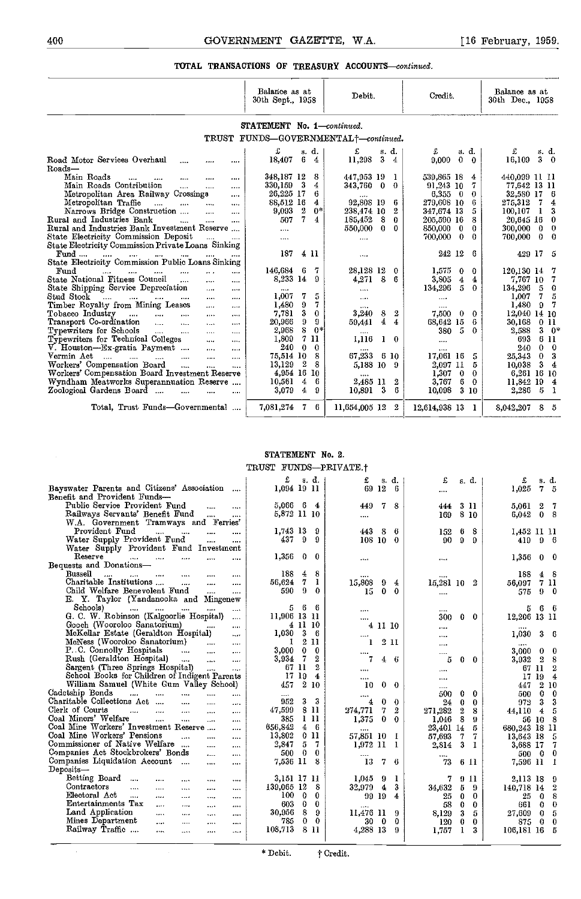#### TOTAL TRANSACTIONS OF TREASURY ACCOUNTS-continued.

|                                                                                                                          | Balance as at<br>30th Sept., 1958 | Debit.                                            | Credit.                      | Balance as at<br>30th Dec., 1958 |
|--------------------------------------------------------------------------------------------------------------------------|-----------------------------------|---------------------------------------------------|------------------------------|----------------------------------|
|                                                                                                                          | STATEMENT No. 1-continued.        |                                                   |                              |                                  |
|                                                                                                                          |                                   | TRUST FUNDS-GOVERNMENTAL <sup>+</sup> -continued. |                              |                                  |
|                                                                                                                          | £<br>s. d.                        | £<br>s. d.                                        | £<br>s. d.                   | £<br>s.d.                        |
| Road Motor Services Overhaul<br>                                                                                         | 18,407<br>6<br>$\overline{4}$     | 3<br>11,298<br>4                                  | $0 \quad 0$<br>9,000         | $3\quad 0$<br>16,109             |
| Roads                                                                                                                    |                                   |                                                   |                              |                                  |
| Main Roads<br>$\cdots$<br><br>$\cdots$<br><br>                                                                           | 348,187 12<br>8                   | 447,953 19<br>1                                   | 539,865 18<br>4              | 440.099 11 11                    |
| Main Roads Contribution<br>$\cdots$<br>$\cdots$<br>$\cdots$                                                              | - 3<br>330,159<br>4               | 343,760<br>$\Omega$<br>$\theta$                   | 91,243 10<br>7               | 77,642 13 11                     |
| Metropolitan Area Railway Crossings<br>$\cdots$                                                                          | 26,225 17<br>6                    | $\cdots$                                          | 6.3550<br>0                  | 32,580 17<br>-6                  |
| Metropolitan Traffic<br>$\sim$<br>$\cdots$<br>$\cdots$<br>$\cdots$                                                       | 88,512 16<br>4                    | 92,808 19<br>6                                    | 279,608 10<br>6              | 275,312 7<br>4                   |
| Narrows Bridge Construction<br><br>$\cdots$                                                                              | 2<br>$0*$<br>9.093                | 238,474 10                                        | 5<br>347.674 13              | 100,107 1<br>3                   |
| Rural and Industries Bank<br>$\ddotsc$<br>$\cdots$<br>$\cdots$                                                           | 7<br>507<br>4                     | -8<br>185,452<br>0                                | 8<br>205,590 16              | 20,645 16<br>0                   |
| Rural and Industries Bank Investment Reserve                                                                             | $\cdots$                          | $\mathbf{0}$<br>$\theta$<br>550,000               | 850,000<br>0<br>0            | $300,000 \quad 0$<br>-0          |
| State Electricity Commission Deposit<br>                                                                                 | $\cdots$                          | $\cdots$                                          | 700,000<br>$\bf{0}$<br>0     | 700,000 0 0                      |
| State Electricity Commission Private Loans Sinking                                                                       |                                   |                                                   |                              |                                  |
| $\mathbf{Fund}$<br>المقدار الممتاز المقدارات<br>$\mathbf{r}$                                                             | 187<br>4 11                       |                                                   | 242 12 6                     | 429 17 5                         |
| State Electricity Commission Public Loans Sinking                                                                        |                                   |                                                   |                              |                                  |
| Fund<br>$\ddotsc$<br>$\cdots$<br>$\cdots$<br>$\cdots$<br>$\cdots$<br>$\cdots$                                            | 146,684<br>7<br>- 6               | 28,128 12<br>0                                    | 1,575<br>$\bf{0}$<br>0       | 120,130 14<br>7                  |
| State National Fitness Council<br>$\cdots$<br><br>$\cdots$                                                               | 8,233 14<br>9                     | -8<br>4,271<br>6                                  | 3,805<br>$\overline{4}$<br>4 | 7,767 10<br>7                    |
| State Shipping Service Depreciation<br>$\cdots$                                                                          | $\cdots$                          | $\cdots$                                          | 134,296<br>5<br>$\Omega$     | 134,296<br>5<br>0                |
| Stud Stock<br>$\cdots$<br>$\cdots$ $\cdots$<br><br>$\cdots$<br>                                                          | 1,007<br>7<br>5                   |                                                   | $\cdots$                     | 7.<br>1,007<br>5                 |
| Timber Royalty from Mining Leases<br>$\cdots$<br>$\cdots$                                                                | 7<br>1,480<br>9                   | $\cdots$                                          | $\cdots$                     | 1,480<br>9<br>7                  |
| Tobacco Industry<br>$\sim$ $\sim$ $\sim$<br>$\cdots$<br>$\cdots$<br>$\cdots$<br>                                         | 3<br>0<br>7,781                   | 3,240<br>8<br>2                                   | 7.500<br>$0 -$<br>0          | 12,040 14 10                     |
| Transport Co-ordination<br>$\ddotsc$<br>$\cdots$<br>$\cdots$                                                             | 9<br>9.<br>20.966                 | 4<br>59,441<br>4                                  | 68,642<br>15<br>6            | 30,168<br>0 11                   |
| Typewriters for Schools<br><b>Sales</b> College<br>$\cdots$<br>$\cdots$<br>$\cdots$                                      | 8<br>2,968<br>$0*$                | $\cdots$                                          | 5<br>380<br>0                | 3<br>2,588<br>-0*                |
| Typewriters for Technical Colleges<br>saka.<br>$\cdots$                                                                  | 1,809<br>7 11                     | 1,116<br>1<br>0                                   | $\cdots$                     | 6 11<br>693                      |
| V. Houston-Ex-gratia Payment<br>$\cdots$<br>$\cdots$                                                                     | 240<br>0<br>0                     |                                                   |                              | $\bf{0}$<br>240<br>0             |
| Vermin Act<br>$\ddot{\phantom{a}}$<br>$\sim$<br>$\cdots$<br>and the company of the state of the state of the<br>$\cdots$ | 8<br>75.514 10                    | 67,233<br>-6<br>-10                               | 17,061 16<br>5               | 0<br>3<br>25,343                 |
| Workers' Compensation Board<br>$\cdots$<br>$\ddotsc$<br>$\cdots$                                                         | 13,129<br>2<br>8                  | 5,188 10<br>9                                     | 2.097 11<br>5                | 3<br>10.038<br>4                 |
| Workers' Compensation Board Investment Reserve                                                                           | 4,954 16 10                       |                                                   | 1.307<br>0<br>0              | 6,261 16 10                      |
| Wyndham Meatworks Superannuation Reserve                                                                                 | - 6<br>10.561<br>4                | 2,485 11<br>2                                     | 3,767<br>6<br>0              | 11,842 19<br>$\overline{4}$      |
| Zoological Gardens Board<br>$\cdots$<br>$\cdots$<br>$\cdots$                                                             | 4<br>3.079<br>9                   | 10,891 3<br>6                                     | 10,098<br>3 10               | 2,286<br>- 5<br>$\mathbf{I}$     |
| Total, Trust Funds-Governmental                                                                                          | 7,081,274<br>- 6<br>7.            | 11,654,005 12<br>2                                | 12,614,938 13 1              | -8<br>8,042,207<br>-5            |

#### STATEMENT No. 2.

| TRUST FUNDS-PRIVATE.+ |
|-----------------------|
|                       |

|                                                                                                     | £<br>s.d.                                          | £<br>s. d.                    | £<br>s. d.                                 | £<br>s d.                                        |
|-----------------------------------------------------------------------------------------------------|----------------------------------------------------|-------------------------------|--------------------------------------------|--------------------------------------------------|
| Bayswater Parents and Citizens' Association                                                         | 1,094 19 11                                        | 12<br>69.<br>-6               | $\cdots$                                   | 1,025<br>7<br>-5                                 |
| Benefit and Provident Funds-                                                                        |                                                    |                               |                                            |                                                  |
| Public Service Provident Fund<br>$\cdots$<br>$\cdots$                                               | 5,066<br>64                                        | 449<br>7 <sup>1</sup><br>-8   | 3 11<br>444                                | 5,061<br>2<br>- 7                                |
| Railways Servants' Benefit Fund<br><br>$\cdots$                                                     | 5,872 11 10                                        | $\cdots$                      | 8 10<br>169                                | $\bf{0}$<br>6,042<br>8                           |
| W.A. Government Tramways and Ferries'                                                               |                                                    |                               |                                            |                                                  |
| Provident Fund<br>$\cdots$ $\cdots$<br>$\cdots$<br>                                                 | 1,743 13<br>-9                                     | 443<br>8<br>6                 | 6<br>-8<br>152                             | 1,452 II 11                                      |
| Water Supply Provident Fund<br>$\cdots$<br>                                                         | 437<br>9<br>9                                      | 108 10<br>-0                  | 9<br>90<br>9                               | 419<br>9<br>- 6                                  |
| Water Supply Provident Fund Investment                                                              |                                                    |                               |                                            |                                                  |
| Reserve<br>$\sim$<br>$\ldots$ .<br><br>$\cdots$<br>                                                 | 1,356<br>$\Omega$<br>0                             |                               | $\cdots$                                   | 1,356<br>$0\quad 0$                              |
| Bequests and Donations-                                                                             |                                                    |                               |                                            |                                                  |
| Bussell<br>$\cdots$<br>$\cdots$<br>$\sim$<br>$\cdots$<br>$\cdots$<br>$\cdots$                       | 8<br>188<br>4                                      | $\cdots$                      |                                            | 188<br>48                                        |
| Charitable Institutions<br>$\mathbf{1}$<br><br>$\cdots$                                             | 7<br>1<br>56,624                                   | 15,808<br>9<br>4              | 15,281 10<br>$\overline{2}$                | 7 11<br>56,097                                   |
| Child Welfare Benevolent Fund<br><br>                                                               | $9 -$<br>590<br>$\theta$                           | $\bf{0}$<br>15<br>0           | $\cdots$                                   | 9<br>- 0<br>575                                  |
| E. Y. Taylor (Yandanooka and Mingenew                                                               |                                                    |                               |                                            |                                                  |
| Schools)<br>$\cdots$<br>$\cdots$<br>$\cdots$                                                        | 6<br>-6<br>5                                       |                               | .                                          | 5<br>6<br>- 6                                    |
| G. C. W. Robinson (Kalgoorlie Hospital)<br>$\cdots$                                                 | 11,906 13 11                                       | $\cdots$                      | 300<br>$\mathbf{0}$<br>- 0                 | 12,206 13 11                                     |
| Gooch (Wooroloo Sanatorium)<br>$\cdots$                                                             | 4 11 10                                            | 4 11 10                       |                                            |                                                  |
| McKellar Estate (Geraldton Hospital)<br>$\ddotsc$                                                   | 1,030<br>3<br>- 6                                  |                               | $\cdots$                                   | 1.030<br>3<br>-6                                 |
| McNess (Wooroloo Sanatorium)<br>$\mathbf{r}$<br>$\cdots$                                            | 2 11<br>1                                          | 211<br>1                      | .                                          | 1.011                                            |
| P. C. Connolly Hospitals<br><b>Contractor</b><br>1.11<br>$\cdots$                                   | $\bf{0}$<br>3,000<br>$\Omega$                      | 1.114                         | $\cdots$                                   | 3,000<br>$\mathbf{0}$<br>- 0                     |
| Rush (Geraldton Hospital)<br>$\sim 100$<br>$\cdots$                                                 | 7<br>2<br>3,934                                    | 7<br>- 6<br>$\overline{4}$    | 5<br>0<br>$^{\circ}$                       | 3,932<br>$\overline{2}$<br>8                     |
| Sargent (Three Springs Hospital)<br>$\cdots$<br>$\cdots$                                            | $\overline{2}$<br>67 11                            | $\cdots$                      | $\cdots$                                   | 67 11                                            |
| School Books for Children of Indigent Parents                                                       | 17 19<br>$\overline{\mathbf{4}}$                   |                               | $\cdots$                                   | 17 19<br>$\overline{4}$                          |
| William Samuel (White Gum Valley School)                                                            | 210<br>457                                         | $\mathbf 0$<br>10<br>$\theta$ | $\cdots$                                   | 210<br>447                                       |
| Cadetship Bonds<br><br>$\cdots$<br>$\cdots$<br>$\cdots$<br>$\cdots$                                 | .                                                  |                               | 0<br>500<br>0                              | 500<br>$\bf{0}$<br>- 0                           |
| Charitable Collections Act<br>$\cdots$<br>$\cdots$<br>$\cdots$                                      | 3<br>3<br>952                                      | $\theta$<br>0<br>4            | 0<br>$\bf{0}$<br>24                        | 3<br>972                                         |
| Clerk of Courts<br>$\cdots$<br>$\cdots$<br>$\cdots$<br>$\cdots$<br>$\cdots$<br>Coal Miners' Welfare | 8 11<br>47,599                                     | 274,771<br>7<br>2             | $\overline{2}$<br>271,282<br>8             | $\overline{4}$<br>44,110<br>- 5                  |
| $\cdots$<br><b>SALE</b><br>$\cdots$<br>$\cdots$                                                     | 111<br>385                                         | 1,375<br>$\bf{0}$<br>0        | 8<br>1,046<br>9                            | 56 10 8                                          |
| Coal Mine Workers' Investment Reserve<br>$\cdots$                                                   | 656,842<br>46                                      | $\cdots$                      | 23,401 14<br>-5                            | 680,243 18 11                                    |
| Coal Mine Workers' Pensions<br>$\mathbf{r}$<br>$\cdots$<br>$\cdots$                                 | 13,802<br>011                                      | 57,851 10                     | 7<br>57,693<br>7                           | 5<br>13,643 18                                   |
| Commissioner of Native Welfare<br>$\mathbf{r}$<br>$\cdots$<br>$\cdots$                              | $5\quad 7$<br>2,347                                | 1,972 11<br>- 1               | 3<br>2,814<br>1                            | 3,688 17<br>7                                    |
| Companies Act Stockbrokers' Bonds<br>$\ddotsc$<br>$\cdots$                                          | $\mathbf{0}$<br>$\bf{0}$<br>500<br>7,536 11<br>- 8 | <br>13                        |                                            | - 0<br>500 0                                     |
| Companies Liquidation Account<br>$\cdots$<br>$\cdots$<br>Deposits-                                  |                                                    | $7 -$<br>-6                   | 73<br>6 II                                 | 7,596 11<br>ा                                    |
| Betting Board                                                                                       | 3,151 17 11                                        | 1.045<br>9<br>1               |                                            |                                                  |
| $\cdots$<br><br>$\cdots$<br><br>$\cdots$<br>Contractors                                             | 139,065 12<br>8                                    | 3                             | 7<br>9 <sub>11</sub><br>-9                 | 2,113 18<br>- 9                                  |
| $\cdots$<br><br>$\cdots$<br>$\cdots$<br>$\cdots$<br>Electoral Act                                   | 0<br>0<br>100.                                     | 32,979<br>4                   | 34,632<br>5                                | 140,718 14                                       |
| 1.114<br>$\cdots$<br>$\cdots$<br>$\cdots$<br>$\cdots$<br>Entertainments Tax                         | $0 \quad 0$<br>603                                 | 99 19<br>4                    | 0<br>$\bf{0}$<br>25<br>0<br>58<br>$\bf{0}$ | 25<br>0<br>-8<br>$\mathbf{0}$<br>661<br>$\theta$ |
| $\cdots$<br>$\cdots$<br>$\cdots$<br>$\cdots$<br>Land Application                                    | 8<br>30,956<br>$\Omega$                            | <br>11,476 11<br>9            | 3<br>8,129<br>5                            | $\bf{0}$<br>5<br>27,609                          |
| $\cdots$<br><b>SALA</b><br>$\cdots$<br><br>Mines Department                                         | $\bf{0}$<br>$\mathbf{0}$<br>785                    | 30<br>$\mathbf{0}$<br>0       | 120<br>0<br>0                              | $\mathbf{0}$<br>875<br>0                         |
| $\cdots$<br>$\cdots$<br>$\cdots$<br>$\cdots$<br>Railway Traffic<br>$\overline{1}$                   | 8 11<br>108,713                                    | 4,288 13<br>9                 | 3<br>1<br>1.757                            | 106,181 16<br>- 5                                |
| $\cdots$<br>$\cdots$<br>$\cdots$                                                                    |                                                    |                               |                                            |                                                  |
|                                                                                                     |                                                    |                               |                                            |                                                  |

 $\hat{\mathcal{L}}$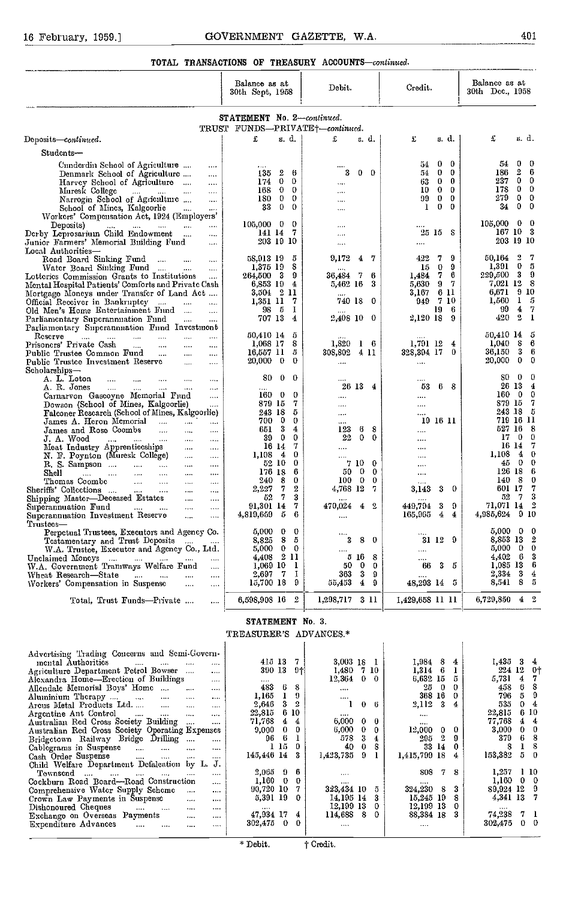#### TOTAL TRANSACTIONS OF TREASURY ACCOUNTS-continued.

|                                                                                                                                                                                                                                                                                                                                                                                                                                                                                                                                                                                                                                                                                                                                                                                                                                                                                                                                                                                                                                                                                                                                                                 | Balance as at<br>30th Sept, 1958                                                                                                                                                                                                                                                                                                                                                                                                | Debit.                                                                                                                                                                                                                                                                              | Credit.                                                                                                                                                                                  | Balance as at<br>30th Dec., 1958                                                                                                                                                                                                                                                                                                                                  |  |  |  |  |  |  |  |
|-----------------------------------------------------------------------------------------------------------------------------------------------------------------------------------------------------------------------------------------------------------------------------------------------------------------------------------------------------------------------------------------------------------------------------------------------------------------------------------------------------------------------------------------------------------------------------------------------------------------------------------------------------------------------------------------------------------------------------------------------------------------------------------------------------------------------------------------------------------------------------------------------------------------------------------------------------------------------------------------------------------------------------------------------------------------------------------------------------------------------------------------------------------------|---------------------------------------------------------------------------------------------------------------------------------------------------------------------------------------------------------------------------------------------------------------------------------------------------------------------------------------------------------------------------------------------------------------------------------|-------------------------------------------------------------------------------------------------------------------------------------------------------------------------------------------------------------------------------------------------------------------------------------|------------------------------------------------------------------------------------------------------------------------------------------------------------------------------------------|-------------------------------------------------------------------------------------------------------------------------------------------------------------------------------------------------------------------------------------------------------------------------------------------------------------------------------------------------------------------|--|--|--|--|--|--|--|
| STATEMENT No. 2-continued.<br>TRUST FUNDS-PRIVATE <sup>+</sup> -continued.                                                                                                                                                                                                                                                                                                                                                                                                                                                                                                                                                                                                                                                                                                                                                                                                                                                                                                                                                                                                                                                                                      |                                                                                                                                                                                                                                                                                                                                                                                                                                 |                                                                                                                                                                                                                                                                                     |                                                                                                                                                                                          |                                                                                                                                                                                                                                                                                                                                                                   |  |  |  |  |  |  |  |
| Deposits-continued.                                                                                                                                                                                                                                                                                                                                                                                                                                                                                                                                                                                                                                                                                                                                                                                                                                                                                                                                                                                                                                                                                                                                             | £<br>s. d.                                                                                                                                                                                                                                                                                                                                                                                                                      | £<br>s. d.                                                                                                                                                                                                                                                                          | s. d.<br>£                                                                                                                                                                               | £<br>s.d.                                                                                                                                                                                                                                                                                                                                                         |  |  |  |  |  |  |  |
| Students-                                                                                                                                                                                                                                                                                                                                                                                                                                                                                                                                                                                                                                                                                                                                                                                                                                                                                                                                                                                                                                                                                                                                                       |                                                                                                                                                                                                                                                                                                                                                                                                                                 |                                                                                                                                                                                                                                                                                     |                                                                                                                                                                                          |                                                                                                                                                                                                                                                                                                                                                                   |  |  |  |  |  |  |  |
| Cunderdin School of Agriculture<br><br>Denmark School of Agriculture<br><br>Harvey School of Agriculture<br><br>Muresk College<br>$\cdots$<br>and the state of the state of<br><br>Narrogin School of Agriculture<br>$\ddotsc$<br>School of Mines, Kalgoorlie<br>$\sim$<br>Workers' Compensation Act, 1924 (Employers'                                                                                                                                                                                                                                                                                                                                                                                                                                                                                                                                                                                                                                                                                                                                                                                                                                          | $\boldsymbol{2}$<br>6<br>135<br>$\mathbf{0}$<br>174<br>$\bf{0}$<br>$\cdot$ 0<br>$\bf{0}$<br>168.<br>$\mathbf{0}$<br>0<br>180<br>$\mathbf{0}$<br>33<br>0                                                                                                                                                                                                                                                                         | 3<br>0<br>$\bf{0}$<br><br><br>.                                                                                                                                                                                                                                                     | $\theta$<br>0<br>54<br>0<br>$\bf{0}$<br>54<br>$\mathbf{0}$<br>$\bf{0}$<br>63<br>$\mathbf 0$<br>$\theta$<br>10<br>0<br>0<br>99<br>1<br>0<br>$\Omega$                                      | 0<br>$\bf{0}$<br>54<br>$\boldsymbol{2}$<br>6<br>186<br>237<br>$\bf{0}$<br>0<br>0<br>178<br>0<br>270<br>0<br>$\bf{0}$<br>$\bf{0}$<br>34<br>0                                                                                                                                                                                                                       |  |  |  |  |  |  |  |
| Deposits)<br>$\cdots$<br>Derby Leprosarium Child Endowment<br><br>Junior Farmers' Memorial Building Fund<br>$\cdots$<br>Local Authorities-                                                                                                                                                                                                                                                                                                                                                                                                                                                                                                                                                                                                                                                                                                                                                                                                                                                                                                                                                                                                                      | $105,000 \quad 0$<br>0<br>-7<br>141 14<br>203 19 10                                                                                                                                                                                                                                                                                                                                                                             | <br>                                                                                                                                                                                                                                                                                | 25 15 8<br>                                                                                                                                                                              | 105,000<br>$\Omega$<br>$\mathbf{0}$<br>167 10<br>3<br>203 19 10                                                                                                                                                                                                                                                                                                   |  |  |  |  |  |  |  |
| Road Board Sinking Fund<br>$\cdots$<br>$\cdots$<br>$\cdots$<br>Water Board Sinking Fund<br>$\cdots$<br>$\cdots$<br>Lotteries Commission Grants to Institutions<br><br>Mental Hospital Patients' Comforts and Private Cash<br>Mortgage Moneys under Transfer of Land Act<br>Official Receiver in Bankruptcy<br>$\sim 1000$<br>$\cdots$<br>$\cdots$<br>Old Men's Home Entertainment Fund<br>$\cdots$<br>Parliamentary Superannuation Fund<br>$\sim 100$ km s $^{-1}$<br>$\cdots$                                                                                                                                                                                                                                                                                                                                                                                                                                                                                                                                                                                                                                                                                  | 58,913 19<br>ö<br>8<br>1,375 19<br>9<br>264.500 3<br>6.853 19<br>4<br>3,504 2 11<br>1,351 11<br>7<br>1<br>- 5<br>98<br>707 13<br>4                                                                                                                                                                                                                                                                                              | 9,172<br>7<br>4<br>7<br>6<br>36,484<br>5,462 16<br>3<br>740 18<br>$\mathbf 0$<br>2,408 10 0                                                                                                                                                                                         | 9<br>4.22<br>7<br>$\mathbf{0}$<br>9<br>15<br>7.<br>6<br>1.434<br>7<br>5,630<br>9.<br>3,167<br>6 11<br>7 10<br>949<br>19<br>6<br>2,120 18<br>9                                            | $\boldsymbol{2}$<br>7<br>50.164<br>$\bf{0}$<br>1,391<br>5<br>3<br>9<br>229,500<br>7,021 12<br>8<br>-9-10<br>6.671<br>$\mathbf{1}$<br>1,560<br>-5<br>99<br>$\overline{4}$<br>7<br>$\overline{2}$<br>420<br>1                                                                                                                                                       |  |  |  |  |  |  |  |
| Parliamentary Superanniation Fund Investment<br>Reserve<br>$\cdots$<br>$\ldots$<br>$\cdots$<br>$\ldots$<br>$\cdots$<br>Prisoners' Private Cash<br>$\cdots$<br>$\mathbf{1}$<br>$\cdots$<br>$\cdots$<br>Public Trustee Common Fund<br>$\cdots$<br>$\cdots$<br>$\cdots$<br>Public Trustee Investment Reserve<br>$\cdots$<br>                                                                                                                                                                                                                                                                                                                                                                                                                                                                                                                                                                                                                                                                                                                                                                                                                                       | 50,410 14<br>5<br>1,068 17<br>8<br>16,557 11<br>5<br>$\bf{0}$<br>$20,000 \quad 0$                                                                                                                                                                                                                                                                                                                                               | $1\quad 6$<br>1,820<br>308,802<br>4 11<br>$\ldots$                                                                                                                                                                                                                                  | 1,791 12<br>4<br>328,394 17<br>0<br>$\cdots$                                                                                                                                             | 50,410 14<br>5<br>$1,040$ 8<br>6<br>3<br>36.150<br>6<br>20,000 0<br>0                                                                                                                                                                                                                                                                                             |  |  |  |  |  |  |  |
| Scholarships-<br>A. L. Loton<br>$\cdots$<br>$\cdots$<br>$\cdots$<br>$\cdots$<br>$\cdots$<br>A. R. Jones<br>$\cdots$<br>$\cdots$<br>$\cdots$<br>$\sim$<br>Carnarvon Gascoyne Memorial Fund<br><br>Dowson (School of Mines, Kalgoorlie)<br>Falconer Rescarch (School of Mines, Kalgoorlie)<br>James A. Heron Memorial<br>$\ddotsc$<br>$\cdots$<br>$\cdots$<br>James and Rose Coombs<br>$\cdots$<br>$\cdots$<br>$\cdots$<br>J. A. Wood<br>$\cdots$<br>$\cdots$<br>Meat Industry Apprenticeships<br>$\cdots$<br><br>N. F. Poynton (Muresk College)<br><br>$\ldots$<br>R. S. Sampson<br>$\ldots$ .<br>$\cdots$<br>$\cdots$<br>$\cdots$<br>Shell<br>$\cdots$<br>$\overline{a}$<br>$\overline{a}$<br>$\cdots$<br>$\cdots$<br>$\cdots$<br>Thomas Coombe<br>$\ldots$<br>$\cdots$<br>$\ldots$<br>$\ldots$<br>Sheriffs' Collections<br>$\cdots$<br>$\cdots$<br>$\cdots$<br><br>Shipping Master-Deceased Estates<br>$\cdots$<br>$\cdots$<br>Superannuation Fund<br><b><i>Committee</i></b><br>$\cdots$<br><br>$\cdots$<br>Superannuation Investment Reserve<br>$\cdots$<br><br>Trustecs—<br>Perpetual Trustees, Executors and Agency Co.<br>Testamentary and Trust Deposits | $\mathbf{0}$<br>80<br>$\Omega$<br>$\bf{0}$<br>$\bf{0}$<br>160.<br>7<br>879 15<br>243 18<br>5<br>$\mathbf{0}$<br>$\Omega$<br>700-<br>-3<br>651<br>4<br>39<br>$\mathbf{0}$<br>0<br>7<br>16 14<br>$\bf{0}$<br>1.108<br>$\overline{4}$<br>52 10<br>$\Omega$<br>176 18<br>6<br>240<br>8<br>$\Omega$<br>7<br>$\boldsymbol{2}$<br>2,227<br>3<br>7<br>52<br>7<br>91,301 14<br>5<br>6<br>4,819,659<br>5,000<br>0<br>0<br>8<br>5<br>3,825 | $\cdots$<br>26 13 4<br>$\cdots$<br><br>$\cdots$<br>6<br>123<br>8<br>$\mathbf{0}$<br>22<br>0<br>$\cdots$<br><br>10 <sub>0</sub><br>7<br>0<br>0<br>50.<br>$\mathbf{0}$<br>$\mathbf 0$<br>100<br>4,768 12<br>- 7<br>470,024<br>$\boldsymbol{2}$<br>$\overline{4}$<br><br>3<br>8.<br>-0 | 8<br>53<br>6.<br><br>$\cdots$<br>$\cdots$<br>19 16 11<br>$\cdots$<br><br><br>$\cdots$<br>$\cdots$<br>$\cdots$<br>3<br>0<br>3,143<br>9<br>3<br>449,794<br>4<br>165,965<br>4<br>31 12<br>9 | 80 0<br>$^{\rm o}$<br>26 13<br>4<br>160 0<br>0<br>879 15<br>7<br>243 18<br>-5<br>719 16 11<br>527 16<br>8<br>170<br>0<br>16 14<br>7<br>1,103<br>$\overline{4}$<br>0<br>$\bf{0}$<br>0<br>45<br>126 18<br>6<br>0<br>140 8<br>601 17<br>7<br>3<br>52<br>- 7<br>$\overline{2}$<br>71,071 14<br>4,985,624 9 10<br>$\boldsymbol{0}$<br>$5,000 \quad 0$<br>2<br>8,853 13 |  |  |  |  |  |  |  |
| W.A. Trustee, Executor and Agency Co., Ltd.<br>Unclaimed Moneys<br><br>$\cdots$<br>$\cdots$<br>W.A. Government Tramways Welfare Fund<br>$\cdots$<br>Wheat Research—State<br><b>Contract Contract</b><br>$\cdots$<br><br>Workers' Compensation in Suspense<br>$\cdots$<br>$\ldots$                                                                                                                                                                                                                                                                                                                                                                                                                                                                                                                                                                                                                                                                                                                                                                                                                                                                               | 0<br>$\Omega$<br>5,000<br>2 11<br>4,408<br>1,069 10<br>1<br>- 7<br>1<br>2,697<br>15,700 18<br>9                                                                                                                                                                                                                                                                                                                                 | <br>5 <sub>16</sub><br>8<br>50<br>$\bf{0}$<br>$\Omega$<br>3<br>363<br>9<br>55,453<br><sup>0</sup><br>4                                                                                                                                                                              | <br>3<br>5<br>66<br>48,293 14 5                                                                                                                                                          | $5,000 \quad 0$<br>$\Omega$<br>3<br>4.402 6<br>1,085 13<br>6<br>3<br>4<br>2.334<br>8<br>5<br>8,541                                                                                                                                                                                                                                                                |  |  |  |  |  |  |  |
| Total, Trust Funds-Private<br>$\cdots$                                                                                                                                                                                                                                                                                                                                                                                                                                                                                                                                                                                                                                                                                                                                                                                                                                                                                                                                                                                                                                                                                                                          | 6,598,908 16<br>$\overline{2}$                                                                                                                                                                                                                                                                                                                                                                                                  | 1,298,717<br>311                                                                                                                                                                                                                                                                    | 1,429,658 11 11                                                                                                                                                                          | 6,729,850<br>4<br>$\boldsymbol{2}$                                                                                                                                                                                                                                                                                                                                |  |  |  |  |  |  |  |

#### STATEMENT No. 3. TREASURER'S ADVANCES.\*

| Advertising Trading Concerns and Semi-Govern-                           |                                   |                                |                            |                          |
|-------------------------------------------------------------------------|-----------------------------------|--------------------------------|----------------------------|--------------------------|
| mental Authorities<br>$\sim$ $\sim$ $\sim$<br>$\cdots$<br><br>$\cdots$  | 415 13 7                          | 3,003 18 1                     | 1.984 8                    | $1,435$ 3 4              |
| Agriculture Department Petrol Bowser<br>$\cdots$                        | 390 13<br>-911                    | 1,480<br>7 10                  | 1,314<br>6                 | 224 12<br>በተ             |
| Alexandra Home-Erection of Buildings<br>$\cdots$                        |                                   | 12,364<br>$\Omega$<br>$\Omega$ | 6,632 15<br>ō.             | 5,731<br>4               |
| Allendale Memorial Boys' Home<br>$\cdots$<br>                           | 483<br>6<br>8                     |                                | 25<br>$\Omega$<br>$\Omega$ | 458<br>6                 |
| Aluminium Therapy<br>$\cdots$<br>$\cdots$<br>                           | 1,165<br>9                        |                                | 368 16<br>$\Omega$         | 796<br>5.                |
| Arcus Metal Products Ltd<br>$\cdots$<br>$\cdots$<br>                    | 3<br>2,646<br>2                   | 0<br>6                         | 2,112<br>3                 | 535<br>$\Omega$          |
| Argentine Ant Control<br>$\cdots$<br>$\cdots$<br>                       | 22.815<br>6 10                    |                                | $\cdots$                   | 22,815<br>6 10           |
| Australian Red Cross Society Building<br>$\cdots$<br>$\cdots$           | 71,768<br>4<br>4                  | 6,000<br>0<br>$\bf{0}$         | $\cdots$                   | 77,768<br>$\overline{4}$ |
| Australian Red Cross Society Operating Expenses                         | $\theta$<br>9,000                 | 6,000<br>0<br>0                | 12,000<br>$\Omega$<br>0    | 3,000<br>0.              |
| Bridgetown Railway Bridge Drilling<br>$\cdots$                          | $6^{\circ}$<br>96                 | 578<br>3                       | $\overline{2}$<br>295<br>9 | 379<br>6.                |
| Cablegrams in Suspense<br>$\cdots$<br>$\cdots$                          | 1 15                              | 40<br>0<br>8                   | 32 14                      | 8                        |
| Cash Order Suspense<br><b>Sales Contractor</b><br>$\cdots$<br>1.111<br> | 145,446 14<br>3                   | 1,423,735<br>Ω                 | 1,415,799 18               | 153,382<br>5.            |
| Child Welfare Department Defalcation by L. J.                           |                                   |                                |                            |                          |
| Townsend<br><b>Sales</b><br>$\cdots$<br>$\cdots$<br>$\cdots$            | 2,065<br>96                       |                                | 808<br>8                   | 1,257<br>1 10            |
| Cockburn Road Board-Road Construction<br>$\sim$                         | 1,160<br>$\mathbf{0}$<br>$\Omega$ |                                |                            | 1,160<br>$0\quad 0$      |
| Comprehensive Water Supply Scheme<br>$\cdots$<br>$\cdots$               | 90,720 10                         | 323,434 10<br>5.               | 324,230<br>3<br>8          | 89,924 12                |
| Crown Law Payments in Suspense<br>$\cdots$<br>                          | $5,391$ 19 0                      | 14,195 14                      | 15,245 19                  | 4,341 13 7               |
| Dishonoured Cheques<br>$\cdots$<br>                                     |                                   | 12,199 13<br>0.                | 12,199 13<br>0.            |                          |
| Exchange on Overseas Payments<br><br>                                   | 47,934 17<br>4.                   | 114,688<br>-8                  | 88,384 18                  | 74,238                   |
| Expenditure Advances<br>$\cdots$<br>$\cdots$<br><br>                    | 302,475<br>0.<br>0                |                                | $\cdots$                   | 302,475<br>$0\quad 0$    |
|                                                                         |                                   |                                |                            |                          |

\* Debit.  $\qquad$  + Credit.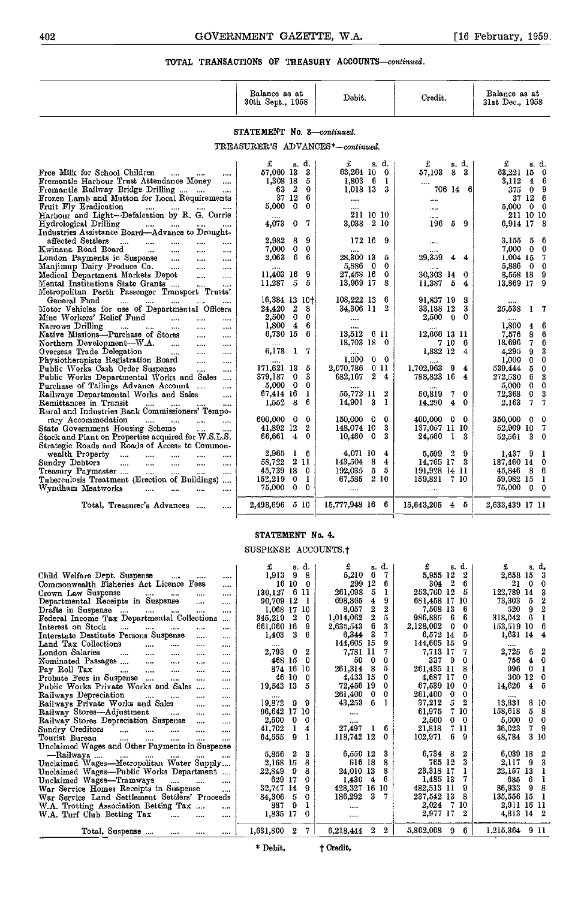#### TOTAL TRANSACTIONS OF TREASURY ACCOUNTS—continued.

|                                                                                                                  | TOTAL TRANSACTIONS OF TREASURY ACCOUNTS—continued. |                           |                         |                                  |
|------------------------------------------------------------------------------------------------------------------|----------------------------------------------------|---------------------------|-------------------------|----------------------------------|
|                                                                                                                  | Balance as at<br>30th Sept., 1958                  | Debit.                    | Credit.                 | Balance as at<br>31st Dec., 1958 |
|                                                                                                                  | STATEMENT No. 3-continued.                         |                           |                         |                                  |
|                                                                                                                  | TREASURER'S ADVANCES*-continued.                   |                           |                         |                                  |
|                                                                                                                  | s.d.<br>£                                          | $\mathbf{f}$<br>s. d.     | £<br>s. d.              | £<br>s. d.                       |
| Free Milk for School Children<br>$\cdots$<br>$\cdots$                                                            | 57,060 13<br>- 3                                   | 63,264 10 0               | 8 3<br>57,103           | 63.221 15 0                      |
| Fremantle Harbour Trust Attendance Money<br>                                                                     | 1,308 18 5                                         | $1,803 \quad 6 \quad 1$   |                         | $3,112$ 4<br>-6                  |
| Fremantle Railway Bridge Drilling<br>$\cdots$                                                                    | 63 2 0                                             | 1.018 13 3                | 706 14 6                | 375 0<br>9                       |
| Frozen Lamb and Mutton for Local Requirements                                                                    | 37126                                              | $\cdots$                  | $\cdots$                | 37 12 6                          |
| Fruit Fly Eradication<br>الراسيان ستاد الشاد                                                                     | 5,000 0 0                                          |                           | $\sim 0.00$             | 5,000 0 0                        |
| Harbour and Light-Defalcation by R. G. Currie                                                                    |                                                    | 211 10 10                 | 1.111                   | 211 10 10                        |
| Hydrological Drilling<br>$\cdots$<br>$\cdots$                                                                    | 4.073<br>-7<br>0                                   | 3,038 2 10                | 196<br>59               | 6,914 17 8                       |
| Industries Assistance Board-Advance to Drought-                                                                  |                                                    |                           |                         |                                  |
| affected Settlers<br>$\sim$<br>$\cdots$<br>$\cdots$<br>$\cdots$<br>                                              | 2,982<br>9<br>8                                    | 172 16 9                  | $\cdots$                | $3,155$ 5 6                      |
| Kwinana Road Board<br><b>Contract Contract</b><br>$\cdots$<br>$\cdots$<br>$\cdots$                               | 7,000 0 0                                          |                           |                         | 7,000 0 0                        |
| London Payments in Suspense<br>$\cdots$<br>                                                                      | $2,063$ 6<br>6                                     | 28,300 13 5               | 29,359<br>44            | $1,004$ 15<br>7                  |
| Manjimup Dairy Produce Co.<br>$\cdots$<br>$\cdots$                                                               | $\ldots$                                           | 5,886 0 0                 |                         | 5,886 0 0                        |
| Medical Department Markets Depot<br>$\cdots$<br>                                                                 | 11,403 16 9                                        | 27,458 16 0               | 30,303 14 0             | 8,558 18 9                       |
| Mental Institutions State Grants<br>$\cdots$<br>$\ddotsc$                                                        | 5<br>11,287<br>-5                                  | 13,969 17 8               | 11,387<br>5<br>4        | 13,869 17 9                      |
| Metropolitan Perth Passenger Transport Trusts'                                                                   |                                                    |                           |                         |                                  |
| General Fund<br>$\cdots$<br>$\sim$ $\sim$<br>$\sim$ and $\sim$                                                   | 16,384 13 10+                                      | 108,222 13 6              | 91,837 19 8             |                                  |
| Motor Vehicles for use of Departmental Officers                                                                  | 24,420 2<br>- 8                                    | 34,306 11 2               | 33,188 12 3             | 25,538<br>1 <sub>7</sub>         |
| Mine Workers' Relief Fund<br>$\mathbf{r}$<br>$\mathbf{1}$<br>$\cdots$                                            | $2,500 \quad 0 \quad 0$                            | $\cdots$                  | $2,500 \quad 0 \quad 0$ |                                  |
| Narrows Drilling<br><b>Sales Control</b><br>$\cdots$<br>$\cdots$<br>$\cdots$                                     | $1,800 \quad 4 \quad 6$                            |                           |                         | 1,800<br>$4\quad 6$              |
| Native Missions-Purchase of Stores<br>$\cdots$<br>                                                               | 6,730 15 6                                         | 13,512 6 11               | 12,666 13 11            | 7,576<br>8<br>6                  |
| Northern Development-W.A.<br>$\sim$ 100 $\sim$<br>$\cdots$<br>                                                   |                                                    | 18,703 18 0               | 7 10 6                  | $\mathbf{7}$<br>6<br>18,696      |
| Overseas Trade Delegation<br>$\sim$ $\sim$<br>$\cdots$<br>$\cdots$                                               | 6,178 1 7                                          |                           | 1,882 12<br>4           | 3<br>4,295<br>9                  |
| Physiotherapists Registration Board<br>$\cdots$<br>$\cdots$                                                      |                                                    | 1,000<br>$0\quad 0$       |                         | 1,000<br>$0\quad 0$              |
| Public Works Cash Order Suspense<br>$\cdots$<br>                                                                 | 171,621 13<br>- 5                                  | 011<br>2,070,786          | 1,702,963<br>$9\quad 4$ | 539,444<br>$5\quad 0$            |
| Public Works Departmental Works and Sales<br>$\sim$                                                              | 379,187 0 3                                        | 2 4<br>682,167            | 788,823 16 4            | 272,530<br>6<br>3                |
| Purchase of Tailings Advance Account<br>$\cdots$                                                                 | $5,000 \quad 0 \quad 0$                            |                           |                         | 5,000 0 0                        |
| Railways Departmental Works and Sales<br>                                                                        | 67,414 16<br>$\mathbf{1}$                          | 55,772 11 2               | 50,819<br>7 0           | 3<br>$\mathbf{0}$<br>72,368      |
| Remittances in Transit<br><br>$\cdots$                                                                           | -6<br>$1,552$ 8                                    | 14,901 3<br>$\mathbf{1}$  | 14,290<br>$4\quad0$     | 7 <sup>7</sup><br>2,163<br>7     |
| Rural and Industries Bank Commissioners' Tempo-                                                                  |                                                    |                           |                         |                                  |
| rary Accommodation<br>$\cdots$<br>$\cdots$<br>$\cdots$<br>$\cdots$                                               | 600,000 0 0                                        | $150,000 \quad 0 \quad 0$ | 400.000<br>$0\quad 0$   | 350,000 0 0                      |
| State Government Housing Scheme<br>$\cdots$<br>$\cdots$                                                          | 41,892 12<br>$\overline{2}$                        | 3<br>148,074 10           | 137,057 11 10           | 52,909 10 7                      |
| Stock and Plant on Properties acquired for W.S.L.S.                                                              | 66,661 4 0                                         | $10,460$ 0<br>3           | 24,560<br>13            | 52,561 3 0                       |
| Strategic Roads and Roads of Access to Common-                                                                   |                                                    |                           |                         |                                  |
| wealth Property<br>$\mathbf{1}$<br>$\cdots$<br><br>$\cdots$                                                      | 2,965<br>16                                        | 4,071 10<br>4             | 29<br>5.599             | $1.437$ 9 1                      |
| Sundry Debtors<br>$\cdots$<br>$\mathbf{r}$ and $\mathbf{r}$ and $\mathbf{r}$<br>$\cdots$<br>$\cdots$<br>$\cdots$ | 2 11<br>58,722                                     | 8<br>143,504<br>4<br>5    | 14,765 17 3             | 187,460 14 0                     |
| Treasury Paymaster<br>$\mathbf{r}$ and $\mathbf{r}$ are associated as $\mathbf{r}$<br>$\ddotsc$<br>$\cdots$      | 45,739 18 0                                        | - 5<br>192,035            | 191,928 14 11           | 45,846 8 6                       |

Total, Treasurer's Advances ....... 2,498,696 5 10 15,777,943 16 <sup>6</sup> 15,643,205 <sup>4</sup> <sup>5</sup> 2,633,439 17 11

#### STATEMENT No. 4.

Tuberculosis Treatment (Erection of Buildings) .... | 152,219 0 1 | 67,585 2 10 | 159,821 7 10 | 59,982 15 1<br>Wyndham Meatworks .... .... .... .... | 75,000 0 0 | .... ... ... | 75,000 0 0

#### SUSPENSE ACCOUNTS.<sup>†</sup>

| 6<br>5,955 12<br>2<br>1,913<br>5,210<br>9<br>2,658 15<br>Child Welfare Dept. Suspense<br>8<br>$\sim 10$<br>$\cdots$<br>$\cdots$<br>12<br>$\boldsymbol{2}$<br>299<br>304<br>21<br>16<br>10<br>6<br>6<br>0<br>0<br>$\cdots$<br>253,760 12<br>6<br>261,098<br>5<br>122,789 14<br>130,127<br>11<br>5<br><b>Sales Control</b><br>$\cdots$<br>$\cdots$<br><br>681,458 17<br>73,303<br>Departmental Receipts in Suspense<br>90,709 12<br>698,865<br>9<br>5<br>4<br>-10<br>1<br>$\cdots$<br>$\cdots$<br>8,057<br>2<br>2<br>7,508<br>13<br>6<br>520<br>9<br>1,068 17<br>-10<br>$\cdots$<br><b>Sales Control</b><br>$\cdots$<br><br>2<br>5<br>1,014,062<br>986.885<br>318,042<br>-6<br>6<br>6<br>2<br>0<br>Federal Income Tax Departmental Collections<br>345,219 | 3<br>0<br>3<br>2<br>2<br>6 |
|---------------------------------------------------------------------------------------------------------------------------------------------------------------------------------------------------------------------------------------------------------------------------------------------------------------------------------------------------------------------------------------------------------------------------------------------------------------------------------------------------------------------------------------------------------------------------------------------------------------------------------------------------------------------------------------------------------------------------------------------------------|----------------------------|
| Commonwealth Fisheries Act Licence Fees<br>Crown Law Suspense<br>Drafts in Suspense                                                                                                                                                                                                                                                                                                                                                                                                                                                                                                                                                                                                                                                                     |                            |
|                                                                                                                                                                                                                                                                                                                                                                                                                                                                                                                                                                                                                                                                                                                                                         |                            |
|                                                                                                                                                                                                                                                                                                                                                                                                                                                                                                                                                                                                                                                                                                                                                         |                            |
|                                                                                                                                                                                                                                                                                                                                                                                                                                                                                                                                                                                                                                                                                                                                                         |                            |
|                                                                                                                                                                                                                                                                                                                                                                                                                                                                                                                                                                                                                                                                                                                                                         |                            |
|                                                                                                                                                                                                                                                                                                                                                                                                                                                                                                                                                                                                                                                                                                                                                         |                            |
| 6<br>3<br>2,128,002<br>2,635,543<br>0<br>153,519 10<br>Interest on Stock<br>661,060 16<br>9<br>0<br>$\cdots$<br>$\cdots$<br><br><br>$\cdots$                                                                                                                                                                                                                                                                                                                                                                                                                                                                                                                                                                                                            |                            |
| 3<br>6,572 14<br>1,403<br>- 3<br>6,344<br>1,631 14<br>Interstate Destitute Persons Suspense<br>5<br>$\cdots$<br>$\cdots$                                                                                                                                                                                                                                                                                                                                                                                                                                                                                                                                                                                                                                | 4                          |
| 144,605 15<br>144,605 15<br>9<br>9<br>Land Tax Collections<br>$\cdots$<br>$\cdots$<br><br><br><br>$\cdots$                                                                                                                                                                                                                                                                                                                                                                                                                                                                                                                                                                                                                                              |                            |
| 2,725 6<br>2,793 0<br>2<br>7,781 11<br>7,713 17<br>London Salaries<br>$\cdots$<br><br><br><br>1.114                                                                                                                                                                                                                                                                                                                                                                                                                                                                                                                                                                                                                                                     |                            |
| 337<br>468 15<br>0<br>9<br>0<br>50<br>0<br>0<br>756<br>4<br>Nominated Passages<br>$\cdots$<br><br>1.11<br>                                                                                                                                                                                                                                                                                                                                                                                                                                                                                                                                                                                                                                              | 0                          |
| 261,435 11<br>874 16<br>261,314<br>8<br>5<br>996<br>$\bf{0}$<br>-10<br>8<br>Pay Roll Tax<br>$\cdots$<br>$\mathbf{r}$<br>$\cdots$<br><br>$\cdots$                                                                                                                                                                                                                                                                                                                                                                                                                                                                                                                                                                                                        | -1                         |
| 4,433 15<br>4,687 17<br>300 12<br>46 10<br>0<br>0<br>0<br>Probate Fees in Suspense<br>$\cdots$<br>$\cdots$<br>$\cdots$                                                                                                                                                                                                                                                                                                                                                                                                                                                                                                                                                                                                                                  | 0                          |
| 14,626<br>19,543 13<br>72,456 19<br>67,539 10<br>Public Works Private Works and Sales<br>0<br>0<br>$\overline{4}$<br>5<br>$\ddotsc$<br>                                                                                                                                                                                                                                                                                                                                                                                                                                                                                                                                                                                                                 | 5                          |
| 261,400<br>261,400<br>0<br>0<br>0<br>0<br>Railways Depreciation<br>$\cdots$<br>$\cdots$<br><br><br><br>                                                                                                                                                                                                                                                                                                                                                                                                                                                                                                                                                                                                                                                 |                            |
| 43,253<br>37,212<br>5<br>13,831 8<br>2<br>19,872<br>9<br>6<br>- 9<br>Railways Private Works and Sales<br>$\cdots$<br>                                                                                                                                                                                                                                                                                                                                                                                                                                                                                                                                                                                                                                   | -10                        |
| 7<br>158,618<br>96,642 17 10<br>61,975<br>10<br>5<br>Railway Stores—Adjustment<br>$\cdots$<br>$\cdots$<br>$\cdots$<br>                                                                                                                                                                                                                                                                                                                                                                                                                                                                                                                                                                                                                                  | 8                          |
| 5,000<br>$\mathbf{0}$<br>2,500<br>0<br>0<br>2,500<br>0<br>0<br>Railway Stores Depreciation Suspense<br>$\cdots$<br><br>                                                                                                                                                                                                                                                                                                                                                                                                                                                                                                                                                                                                                                 | 0                          |
| 27,497<br>41,702<br>21,818<br>36,023<br>7<br>7 11<br>1<br>-6<br>Sundry Creditors<br>-1<br>4<br>$\sim$<br>$\sim$<br>$\cdots$<br>$\cdots$<br>$\cdots$                                                                                                                                                                                                                                                                                                                                                                                                                                                                                                                                                                                                     | 9                          |
| 118,742 12<br>102,971<br>6.<br>9<br>48.784<br>64,555<br>-9<br>$\Omega$<br>1<br>Tourist Bureau<br>$\mathbf{r}$<br>$\cdots$<br>$\cdots$<br>$\cdots$<br>                                                                                                                                                                                                                                                                                                                                                                                                                                                                                                                                                                                                   | 3 10                       |
| Unclaimed Wages and Other Payments in Suspense                                                                                                                                                                                                                                                                                                                                                                                                                                                                                                                                                                                                                                                                                                          |                            |
| 6,734 8<br>6,550 12<br>6,039 18<br>- 2<br>3<br>5,856<br>3<br>2<br>—Railways<br>the company of the company of the company of the company of the company of the company of the company of the company of the company of the company of the company of the company of the company of the company of the company<br>1.111<br>                                                                                                                                                                                                                                                                                                                                                                                                                               | 2                          |
| 765 12<br>816 18<br>8<br>3<br>2,117<br>-9<br>Unclaimed Wages-Metropohtan Water Supply<br>2,168 15<br>8                                                                                                                                                                                                                                                                                                                                                                                                                                                                                                                                                                                                                                                  |                            |
| 23,318 17<br>24,010 13<br>8<br>22,157 13<br>- 9<br>22,849<br>Unclaimed Wages-Public Works Department                                                                                                                                                                                                                                                                                                                                                                                                                                                                                                                                                                                                                                                    |                            |
| 1,430<br>6<br>1,485 13<br>685<br>629<br>17<br>4<br>-6<br>0<br>Unclaimed Wages-Tramways<br><b>Separation</b><br>$\cdots$<br>$\cdots$                                                                                                                                                                                                                                                                                                                                                                                                                                                                                                                                                                                                                     |                            |
| 86,933<br>482,513 11<br>9<br>32,747<br>14<br>428,327<br>16 10<br>9<br>War Service Homes Receipts in Suspense<br>9<br>$\cdots$                                                                                                                                                                                                                                                                                                                                                                                                                                                                                                                                                                                                                           | 8                          |
| 13<br>186,292<br>3<br>237,542<br>135,556 15<br>84,306<br>-5<br>8<br>War Service Land Settlement Settlers' Proceeds<br>0                                                                                                                                                                                                                                                                                                                                                                                                                                                                                                                                                                                                                                 | -1                         |
| 2,024<br>7<br>2,911 16 11<br>9<br>387<br>10<br>W.A. Trotting Association Betting Tax<br>$\cdots$<br>$\cdots$                                                                                                                                                                                                                                                                                                                                                                                                                                                                                                                                                                                                                                            |                            |
| 1,835 17<br>2,977 17<br>4,813 14 2<br>2<br>0<br>W.A. Turf Club Betting Tax<br>$\cdots$<br>$\cdots$<br>$\cdots$                                                                                                                                                                                                                                                                                                                                                                                                                                                                                                                                                                                                                                          |                            |
|                                                                                                                                                                                                                                                                                                                                                                                                                                                                                                                                                                                                                                                                                                                                                         |                            |
| 1,215,364 9 11<br>$\mathbf{2}$<br>5,802,008<br>1,631,800 2<br>7.<br>2<br>6.<br>6,218,444<br>9<br>Total, Suspense<br>$\cdots$<br>                                                                                                                                                                                                                                                                                                                                                                                                                                                                                                                                                                                                                        |                            |

\* Debit, Credit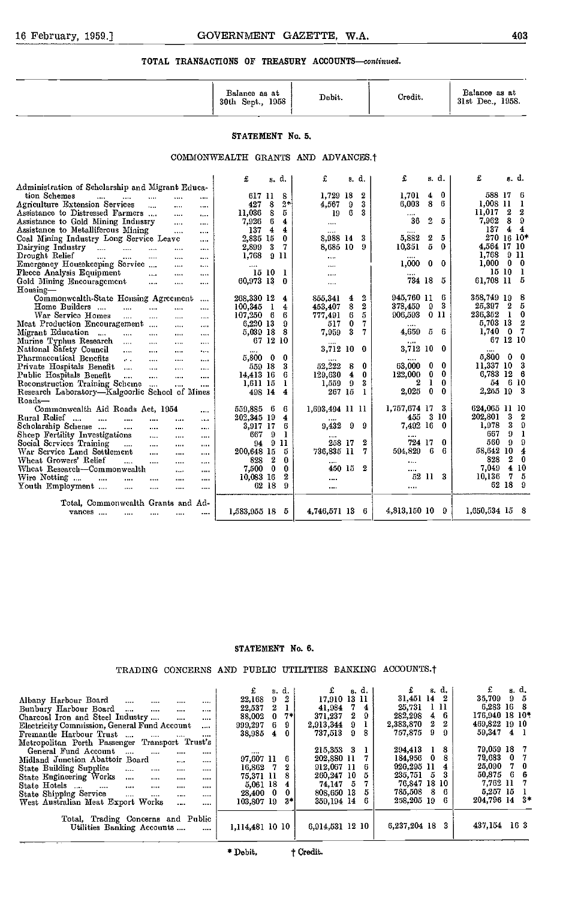#### TOTAL TRANSACTIONS OF TREASURY ACCOUNTS-continued.

| Balance as at<br>1958<br>30th Sept., | Debit. | Credit. | Balance as at<br>31st Dec., 1958. |
|--------------------------------------|--------|---------|-----------------------------------|
|                                      |        |         |                                   |

#### STATEMENT No. 5.

#### COMMONWEALTH GRANTS AND ADVANCES.<sup>†</sup>

|                                                                                            | £            | s. d.                   |       | £                  | s. d.            | £<br>s. d.                    | £<br>s. d.                      |
|--------------------------------------------------------------------------------------------|--------------|-------------------------|-------|--------------------|------------------|-------------------------------|---------------------------------|
| Administration of Scholarship and Migrant Educa-                                           |              |                         |       |                    |                  |                               |                                 |
| tion Schemes<br>$\cdots$<br>$\cdots$<br>$\sim$ $\sim$<br><br>$\cdots$                      | 617 11       |                         | 8     | 1,729 18           | $\boldsymbol{2}$ | 0<br>1,701<br>4.              | 588 17<br>6                     |
| Agriculture Extension Services<br>$\sim$<br>$\cdots$<br>$\cdots$                           | 427          | 8                       | $2^*$ | 4,567<br>9         | 3                | 6,003<br>8<br>6               | 1.008 11<br>-1                  |
| Assistance to Distressed Farmers<br>$\cdots$<br>$\cdots$                                   | 11.036       | -8                      | 5     | 6<br>19            | 3                |                               | 11,017<br>2<br>$\boldsymbol{2}$ |
| Assistance to Gold Mining Industry<br>$\cdots$<br>$\cdots$                                 | 7,926        | -6                      | 4     | $\cdots$           |                  | 36<br>2<br>5                  | 7,962<br>8<br>9                 |
| Assistance to Metalliferous Mining<br>$\cdots$<br>                                         | 137          | $\overline{\mathbf{4}}$ | 4     |                    |                  |                               | 137<br>4<br>4                   |
| Coal Mining Industry Long Service Leave<br>$\cdots$                                        | 2,835        | 15                      | 0     | 8,988 14           | 3                | 5,832<br>2<br>5               | 270 16 10*                      |
| Dairying Industry<br>$\sim$ $\sim$ $\sim$<br>$\cdots$<br>$\ddotsc$<br>$\cdots$<br>$\cdots$ | 2,899        | 3                       | 7     | 8,685 10           | 9                | 10,351<br>5<br>$\bf{0}$       | 4,564 17 10                     |
| Drought Relief<br>$\cdots$<br>$\cdots$<br>$\cdots$<br>$\cdots$<br>$- - -$                  | 1,768        | $\overline{9}$          | -11   | $\cdots$           |                  |                               | 1,768<br>9 11                   |
| Emergency Housekceping Service<br>$\cdots$<br>$\cdots$                                     |              |                         |       |                    |                  | 1,000<br>0<br>0               | 1,000<br>$\bf{0}$<br>-0         |
| Flecce Analysis Equipment<br>$\cdots$<br><br>                                              |              | 15 10                   | 1     |                    |                  |                               | 15 10<br>-1                     |
| Gold Mining Encouragement<br><b>College</b><br>$\cdots$<br>$\cdots$                        | 60,973 13    |                         | 0     | $\ddotsc$          |                  | 734 18<br>5                   | 61,708 11<br>5                  |
| Housing-                                                                                   |              |                         |       |                    |                  |                               |                                 |
| Commonwealth-State Housing Agreement<br>$\cdots$                                           | 268,330 12   |                         | 4     | 855,341<br>4       | 2                | 945,760 11<br>6               | 358,749 19<br>8                 |
| Home Builders<br>$\cdots$<br>$\cdots$<br>$\cdots$<br>                                      | 100,345      | - 1                     | 4     | 8<br>453,407       | 2                | 3<br>378,459<br>9             | 5<br>25,397<br>2                |
| War Service Homes<br>$\cdots$<br><br>$\cdots$<br>                                          | 107,250      | - 6                     | 6     | 6<br>777,491       | 5                | 906,593<br>0 11               | 236,352<br>0<br>$\mathbf{1}$    |
| Meat Production Encouragement<br><br>                                                      | 6,220 13     |                         | 9     | $\bf{0}$<br>517    | 7.               |                               | 5,703 13<br>2                   |
| Migrant Education<br>$\cdots$<br>$\cdots$<br>$\cdots$<br>                                  | 5,039 18     |                         | 8     | 3<br>7,959         |                  | 4,659<br>5.<br>-6             | 1,740<br>$\bf{0}$<br>7          |
| Murine Typhus Research<br>$\cdots$<br>$\cdots$<br>$\cdots$<br>$\cdots$                     |              | 67 12 10                |       |                    |                  |                               | 67 12 10                        |
| National Safety Council<br>$\cdots$<br>$\cdots$<br>$\cdots$<br>                            | $\cdots$     |                         |       | $3,712$ 10         | - 0              | 3,712 10 0                    |                                 |
| Pharmaccutical Benefits<br>$\mathcal{L}^{\text{max}}$<br>$\cdots$<br>$\cdots$<br>$\cdots$  | 5,800        | $\mathbf{0}$            | 0     |                    |                  |                               | 5,800<br>- 0<br>0               |
| Private Hospitals Benefit<br>$\sim$<br>$\cdots$<br>$\cdots$<br>$\cdots$                    | 559 18       |                         | 3     | 52,222<br>8        | 0                | 63,000<br>0<br>0              | 11,337 10<br>3                  |
| Public Hospitals Benefit<br>$\cdots$<br>$\mathbf{r}$<br>$\cdots$<br>$\cdots$               | 14,413 16    |                         | 6     | 129,630<br>4       | 0                | 0<br>122,000<br>0             | 6,783 12<br>-6                  |
| Reconstruction Training Scheme<br>$\cdots$<br>                                             | 1,611 15     |                         | 1     | 1.559<br>9         | 3                | 1<br>2<br>0                   | 6 10<br>54                      |
| Research Laboratory—Kalgoorlic School of Mines                                             | 498 14       |                         | 4     | 267 15             | - 1              | 2,025<br>$\bf{0}$<br>$\bf{0}$ | 2,255 19 3                      |
| Roads-                                                                                     |              |                         |       |                    |                  |                               |                                 |
| Commonwealth Aid Roads Act. 1954<br>$\cdots$                                               | 559,885      | - 6                     | 6     | 1,693,494 11 11    |                  | 1,757,674 17<br>-3            | 624,065 11 10                   |
| Rural Relief<br>$\cdots$<br>$\cdots$<br>$\cdots$                                           | 202,345 19   |                         | 4     |                    |                  | 310<br>455                    | - 3<br>202,301<br>2             |
| <br><br>Scholarship Scheme                                                                 | 3,917 17     |                         | 6     | 9.432<br>9         | 9                | 7,492 16<br>0                 | 3<br>1,978<br>9                 |
| $\cdots$<br>$\cdots$<br><br>1.11<br>Sheep Fertility Investigations<br>$\cdots$             | 667          | 9                       | 1     |                    |                  | 1.111                         | 667<br>9<br>1                   |
| $\cdots$<br>$\cdots$<br>Social Services Training                                           | 94           | 9                       | 11    | 258 17             | 2                | 724 17<br>0                   | 560<br>9<br>9                   |
| $\cdots$<br>$\cdots$<br><br>War Scrvice Land Settlement<br>$\cdots$                        | 200,648 15   |                         | 5     | 736,835 11         | 7                | 594,829<br>6<br>6             | 58,642 10<br>4                  |
| $\cdots$<br>$\cdots$<br>Wheat Growers' Relief                                              | 828          | 2                       | 0     |                    |                  |                               | 828<br>2<br>0                   |
| <br>$\cdots$<br>$\cdots$<br>$\cdots$<br>Wheat Research--Commonwealth                       | 7,500        | 0                       | 0     | $\cdots$<br>450 15 | $\boldsymbol{2}$ |                               | 7.049<br>4 10                   |
| $\cdots$<br>$\cdots$<br>Wire Netting                                                       | 10,083 16    |                         | 2     |                    |                  | <br>-3<br>52 11               | 10,136<br>5<br>7                |
| $\cdots$<br>$\cdots$<br>$\cdots$<br>$\cdots$<br>$\cdots$<br>Youth Employment               |              | 62 18                   | 9     |                    |                  |                               | 62 18<br>-9                     |
| $\cdots$<br>$\cdots$<br>$\cdots$<br>$\cdots$                                               |              |                         |       |                    |                  |                               |                                 |
| Total, Commonwealth Grants and Ad-                                                         |              |                         |       |                    |                  |                               |                                 |
| vances<br>$\cdots$                                                                         | 1.583,955 18 |                         | 5     | 4,746,571 13 6     |                  | 4,813,150 10 9                | 1,650,534 15<br>-8              |
| <br><br>                                                                                   |              |                         |       |                    |                  |                               |                                 |

#### STATEMENT No. 6.

#### TRADING CONCERNS AND PUBLIC UTILITIES BANKING ACCOUNTS.<sup>†</sup>

|                                                                        | s. d.                    | £<br>s d.                 | s. d.            | £<br>s. d.        |
|------------------------------------------------------------------------|--------------------------|---------------------------|------------------|-------------------|
| Albany Harbour Board<br>$\sim$<br>$\cdots$<br>$\cdots$<br>             | 2<br>22,168<br>9.        | 17,910 13 11              | 31,451 14 2      | 35.709 9 5        |
| Bunbury Harbour Board<br>$\cdots$<br>$\cdots$<br>$\cdots$              | 2 1<br>22,537            | 41.984 7 4                | 25,731<br>-111   | 6.283 16 8        |
| Charcoal Iron and Steel Industry<br>$\cdots$<br>$\cdots$               | 88,002<br>$0.7*$         | $371.237 \quad 2 \quad 9$ | 46<br>282,298    | 176,940 18 10*    |
| Electricity Commission, General Fund Account<br>$\cdots$               | -9<br>999,297 6          | 2,913,344 9 1             | 2,383,870<br>22  | 469,822 19 10     |
| Fremantle Harbour Trust<br>$\cdots$<br>                                | 38,985 4<br>$\bf{0}$     | 737.513 9 8               | 757,875 9 9      | 59,347 4 1        |
| Metropolitan Perth Passenger Transport Trust's                         |                          |                           |                  |                   |
| General Fund Account<br>$\cdots$<br>$\cdots$<br>                       |                          | 215,353 3 1               | 294.413<br>18    | 79,059 18 7       |
| Midland Junction Abattoir Board<br>$\cdots$<br>$\cdots$                | 97,607 11<br>-6          | 202,880 11 7              | 184,956 0<br>- 8 | 79,683 0 7        |
| State Building Supplies<br>$\sim$<br>$\cdots$<br>$\cdots$<br>          | $16,862$ 7 2             | 912,067 11<br>- 6         | 920,295 11<br>4  | 25,090 7 0        |
| State Engineering Works<br>$\sim$<br><br><br>                          | 75,371 11<br>- 8         | 260.247 10 5              | 235,751 5 3      | 50.875 6 6        |
| State Hotels<br>$\cdots$<br>1111<br>$\cdots$<br>                       | 5,061 18 4               | 74,147 5                  | 76,847 18 10     | 7.762 11 7        |
| State Shipping Service<br>$\cdots$<br>$\cdots$<br>$\cdots$<br>$\cdots$ | 28,400 0<br>$\mathbf{0}$ | 808.650 13 5              | 785,508 8 6      | 5.257 15 1        |
| West Australian Meat Export Works<br>                                  | 103,807 19<br>-3*        | 359,194 14 6              | 258,205 19<br>-6 | $204.796$ 14 $3*$ |
|                                                                        |                          |                           |                  |                   |
| Total, Trading Concerns and Public                                     |                          |                           |                  |                   |
| Utilities Banking Accounts<br>$\cdots$                                 | 1,114,481 10 10          | 6,914,531 12 10           | 6,237,204 18     | 437,154 163       |
|                                                                        |                          |                           |                  |                   |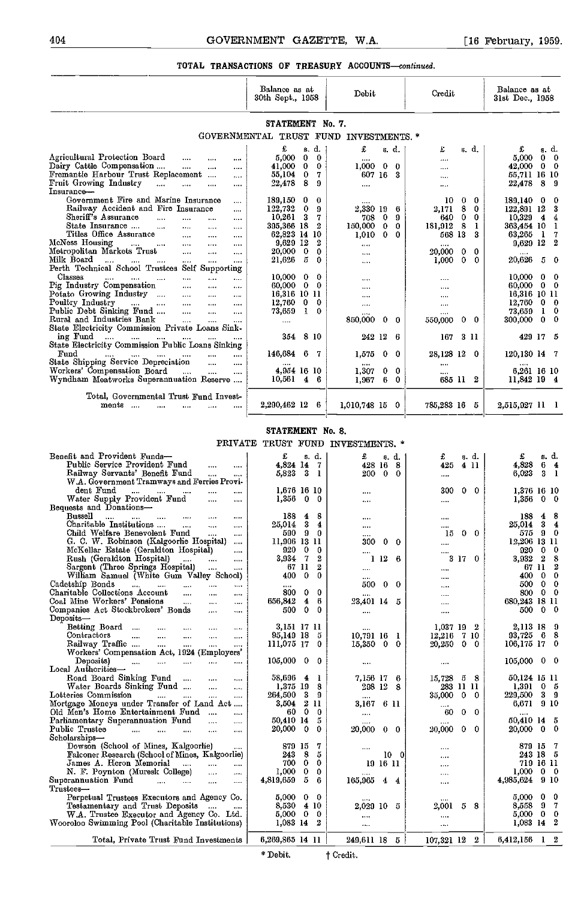$\begin{array}{c} \hline \end{array}$ 

#### TOTAL TRANSACTIONS OF TREASURY ACCOUNTS-continued.

|                                                                                                                                                                                                                                                                                                                                                                                                                                                                                                                                                                                                                                | Balance as at<br>30th Sept., 1958                                                                                                                                                                                                  | Debit                                                                                            | Credit                                                                                     | Balance as at<br>31st Dec., 1958                                                                                                                                                                                                                                   |
|--------------------------------------------------------------------------------------------------------------------------------------------------------------------------------------------------------------------------------------------------------------------------------------------------------------------------------------------------------------------------------------------------------------------------------------------------------------------------------------------------------------------------------------------------------------------------------------------------------------------------------|------------------------------------------------------------------------------------------------------------------------------------------------------------------------------------------------------------------------------------|--------------------------------------------------------------------------------------------------|--------------------------------------------------------------------------------------------|--------------------------------------------------------------------------------------------------------------------------------------------------------------------------------------------------------------------------------------------------------------------|
|                                                                                                                                                                                                                                                                                                                                                                                                                                                                                                                                                                                                                                | STATEMENT No. 7.<br>GOVERNMENTAL TRUST FUND                                                                                                                                                                                        | INVESTMENTS. *                                                                                   |                                                                                            |                                                                                                                                                                                                                                                                    |
| Agricultural Protection Board<br><br><br>Dairy Cattle Compensation<br><br>$\cdots$<br><br>Fremantle Harbour Trust Replacement<br>                                                                                                                                                                                                                                                                                                                                                                                                                                                                                              | £<br>s.d.<br>5.000<br>0<br>0<br>0<br>0<br>41,000<br>55,104<br>0<br>7                                                                                                                                                               | £<br>s. d.<br><br>1,000<br>0.<br>- 0<br>607 16 3                                                 | £<br>s.d.<br><br>$\cdots$<br>$\cdots$                                                      | s. d.<br>£<br>5,000<br>0<br>0<br>42,000<br>$0\quad 0$<br>55,711 16 10                                                                                                                                                                                              |
| Fruit Growing Industry<br>$\cdots$<br><br><br>Insurance—<br>Government Fire and Marine Insurance<br>$\cdots$<br>Railway Accident and Fire Insurance<br>Sheriff's Assurance<br>$\cdots$<br>$\cdots$<br>$\ddotsc$<br>                                                                                                                                                                                                                                                                                                                                                                                                            | 8<br>22,478<br>9<br>139,150<br>0<br>0<br>122,732<br>0<br>9<br>10,261<br>3<br>7                                                                                                                                                     | <br>2,330 19<br>6<br>0<br>708<br>9                                                               | <br>0<br>0<br>10<br>8<br>0<br>2,171<br>0<br>0<br>640                                       | 22,478<br>- 8<br>-9<br>0<br>189.140<br>- 0<br>122,891 12<br>3<br>10,329<br>$\overline{\mathbf{4}}$<br>4                                                                                                                                                            |
| State Insurance<br>$\cdots$<br>$\cdots$<br>$\cdots$<br>$\cdots$<br>Titles Office Assurance<br><b></b><br>$\cdots$<br><br>McNess Housing<br><b>Contractor</b><br>$\mathbf{1}$ and $\mathbf{1}$<br>$\cdots$<br>$\sim$ $\sim$<br>$\cdots$<br>Metropohtan Markets Trust<br>$\cdots$<br>$\cdots$<br><br>Milk Board<br>$\cdots$<br>$\cdots$<br>$\cdots$<br>                                                                                                                                                                                                                                                                          | 395,366 18<br>2<br>62,823 14 10<br>9,629 12<br>2<br>20,000<br>$\mathbf{0}$<br>0<br>21,626<br>-5<br>0                                                                                                                               | 150,000<br>0<br>0<br>0<br>1,010<br>0<br>$\cdots$<br><br>                                         | 8<br>1<br>181.912<br>3<br>568 13<br><br>20,000<br>0<br>0<br>0<br>0<br>1,000                | 363,454 10<br>1<br>63,265<br>$\mathbf{I}$<br>7<br>$9,629$ 12<br>-2<br>20,626<br>-5<br>0                                                                                                                                                                            |
| Perth Technical School Trustees Self Supporting<br>Classes<br>$\cdots$<br>$\cdots$<br>$\cdots$<br><br>$\cdots$<br>Pig Industry Compensation<br>$\cdots$<br>$\cdots$<br>$\cdots$<br>Potato Growing Industry<br>$\cdots$<br>$\cdots$<br>$\cdots$<br>Poultry Industry<br>المستردات المساردات المسارد<br>$\cdots$<br>$\cdots$<br>Public Debt Sinking Fund<br>$\sim$<br>$\cdots$<br>$\cdots$<br>Rural and Industries Bank<br>$\sim$<br><br>State Electricity Commission Private Loans Sink-                                                                                                                                         | 10,000<br>$\mathbf{0}$<br>0<br>$60,000 \quad 0$<br>0<br>16,316 10 11<br>$\bf{0}$<br>12,760<br>0<br>$\mathbf{I}$<br>73,659<br>0<br>$\cdots$                                                                                         | <br><br><br><br>850,000<br>0<br>$\Omega$                                                         | <br><br><br>$\cdots$<br>$\cdots$<br>550,000<br>0<br>0                                      | 10,000<br>0<br>0<br>60,000<br>$0\quad 0$<br>16,316 10 11<br>$\mathbf{0}$<br>12,760<br>-0<br>73,659<br>$\mathbf{I}$<br>0<br>0<br>0<br>300,000                                                                                                                       |
| ing Fund<br><b>Service</b> Contractor<br>1.144<br>$\cdots$<br>1.111<br>State Electricity Commission Public Loans Sinking<br>Fund<br>                                                                                                                                                                                                                                                                                                                                                                                                                                                                                           | 8 10<br>354<br>146,684<br>- 6<br>7                                                                                                                                                                                                 | 242 12<br>-6<br>$\mathbf 0$<br>0<br>1,575                                                        | 3 11<br>167<br>28,128 12 0                                                                 | 429 17<br>-5<br>120,130 14 7                                                                                                                                                                                                                                       |
| State Shipping Service Depreciation<br>$\cdots$<br><br>Workers' Compensation Board<br>$\cdots$<br><br><br>Wyndham Meatworks Superannuation Reserve                                                                                                                                                                                                                                                                                                                                                                                                                                                                             | 4,954 16 10<br>$10,561 \quad 4 \quad 6$                                                                                                                                                                                            | 0<br>1,307<br>0<br>1,967<br>6<br>0                                                               | <br><br>685 11 2                                                                           | 6,261 16 10<br>11,842 19 4                                                                                                                                                                                                                                         |
| Total, Governmental Trust Fund Invest-<br>ments                                                                                                                                                                                                                                                                                                                                                                                                                                                                                                                                                                                | 2,290,462 12 6                                                                                                                                                                                                                     | $1,010,748$ 15 0                                                                                 | 785,283 16 5                                                                               | 2,515,927 11 1                                                                                                                                                                                                                                                     |
|                                                                                                                                                                                                                                                                                                                                                                                                                                                                                                                                                                                                                                | STATEMENT No. 8.                                                                                                                                                                                                                   |                                                                                                  |                                                                                            |                                                                                                                                                                                                                                                                    |
| PRIVATE<br>Benefit and Provident Funds-                                                                                                                                                                                                                                                                                                                                                                                                                                                                                                                                                                                        | £<br>s. d.                                                                                                                                                                                                                         | TRUST FUND INVESTMENTS. *<br>s. d.<br>£.                                                         | s d<br>£                                                                                   | s. d.<br>£                                                                                                                                                                                                                                                         |
| Public Service Provident Fund<br><br><br>Railway Servants' Benefit Fund<br><br><br>W.A. Government Tramways and Ferries Provi-                                                                                                                                                                                                                                                                                                                                                                                                                                                                                                 | 4,824 14 7<br>-3<br>5,823<br>- 1                                                                                                                                                                                                   | 428 16<br>- 8<br>200<br>$0\quad 0$                                                               | 425<br>4 11<br>                                                                            | 4,828<br>6 <sub>4</sub><br>6,023<br>3<br>-1                                                                                                                                                                                                                        |
| dent Fund<br><br>$\cdots$<br><br><br>Water Supply Provident Fund<br>$\cdots$<br>$\cdots$<br>Bequests and Donations-                                                                                                                                                                                                                                                                                                                                                                                                                                                                                                            | 1,676 16 10<br>$\mathbf{0}$<br>- 0<br>1,356                                                                                                                                                                                        | <br>                                                                                             | 300<br>$0\quad 0$<br>                                                                      | 1,376 16 10<br>1,356<br>0<br>0                                                                                                                                                                                                                                     |
| Bussell<br>$\cdots$<br>$\cdots$<br>$\cdots$<br>$\cdots$<br><br>Charitable Institutions<br>$\cdots$<br>$\cdots$<br><br>Child Welfare Benevolent Fund<br><br>G. C. W. Robinson (Kalgoorlie Hospital)<br>$\cdots$<br>McKellar Estate (Geraldton Hospital)<br>$\cdots$<br>Rush (Geraldton Hospital)<br><b>Contract Contract</b><br><br>Sargent (Three Springs Hospital)<br>$\sim 100$<br>William Samuel (White Gum Valley School)<br>Cadetship Bonds<br><br>$\cdots$<br><br><br>Charitable Collections Account<br><br>$\cdots$<br><br>Coal Mine Workers' Pensions<br>$\cdots$<br><br><br>Companies Act Stockbrokers' Bonds<br><br> | 188<br>4<br>8<br>3<br>4<br>25,014<br>590<br>- 9<br>0<br>11,906 13 11<br>920<br>$\mathbf{0}$<br>0<br>$3,934$ 7<br>2<br>67 II<br>2<br>400<br>$\mathbf{0}$<br>0<br><br>0<br>0<br>800<br>656,842<br>4<br>6<br>$\mathbf{0}$<br>500<br>0 | <br><br><br>300<br>0<br>0<br><br>12<br>6<br>1<br><br><br>500<br>0.<br>- 0<br><br>23,401 14 5<br> | <br><br>0<br>0<br>15<br><br><br>3<br>0<br>17<br><br><br><br>.<br><br>                      | 8<br>188<br>$\mathbf 4$<br>3<br>25,014<br>4<br>-9<br>575<br>0<br>12,206 13 11<br>0<br>920<br>$\mathbf{0}$<br>$3,932$ 2<br>8<br>2<br>67 II<br>400<br>$\mathbf{0}$<br>0<br>500<br>$\mathbf{0}$<br>0<br>800<br>$0\quad 0$<br>680,243 18 11<br>500<br>$\mathbf 0$<br>0 |
| $D$ eposits—<br>Betting Board<br><br>$\cdots$<br><br>$\cdots$<br>Contractors<br><br>$\cdots$<br><br><br><br>Railway Traffic<br>$\cdots$<br><br>$\cdots$<br>$\cdots$<br>Workers' Compensation Act, 1924 (Employers'                                                                                                                                                                                                                                                                                                                                                                                                             | 3,151 17 11<br>95,149 18 5<br>111,075 17<br>0                                                                                                                                                                                      | <br>10,791 16 1<br>$15,350 \quad 0 \quad 0$                                                      | 1,037 19<br>-2<br>7.<br>12,216<br>10<br>20,250<br>$0\quad 0$                               | 2,113 18<br>-9<br>$93,725$ 6<br>8<br>106,175 17<br>$\mathbf{0}$                                                                                                                                                                                                    |
| Deposits)<br>$\ldots$<br>$\ddotsc$<br><br><br><br>Local Authorities-<br>Road Board Sinking Fund<br>$\cdots$<br><br><br>Water Boards Sinking Fund<br><br>                                                                                                                                                                                                                                                                                                                                                                                                                                                                       | $105,000 \quad 0$<br>0<br>58,696 4 1<br>8<br>1,375 19                                                                                                                                                                              | <br>7,156 17<br>- 6<br>298 12<br>8                                                               | $\cdots$<br>15,728<br>58<br>283<br>-11-11                                                  | $105,000 \quad 0 \quad 0$<br>50,124 15 11<br>1,391<br>0 <sub>5</sub>                                                                                                                                                                                               |
| Lotteries Commission<br><b>Contract Contract Contract</b><br><br><br>Mortgage Moneys under Transfer of Land Act<br>Old Men's Home Entertainment Fund<br>$\cdots$<br><br>Parliamentary Superannuation Fund<br>$\cdots$<br><br>Public Trustee<br>$\cdots$<br>$\cdots$<br>$\cdots$<br>$\cdots$<br><br>Scholarships—                                                                                                                                                                                                                                                                                                               | - 3<br>264,500<br>9<br>3,504 2 11<br>60 0<br>0<br>50,410 14<br>5<br>$\mathbf{0}$<br>20,000<br>0                                                                                                                                    | $\cdots$<br>3,167 6 11<br><br>$\cdots$<br>20,000<br>$0\quad 0$                                   | $\mathbf{0}$<br>35,000<br>$\mathbf{0}$<br>$\cdots$<br>60<br>0<br>0<br><br>20,000<br>0<br>0 | 229,500<br>39<br>-910<br>6,671<br>$\cdots$<br>50,410 14<br>-5<br>20,000<br>$\mathbf 0$<br>0                                                                                                                                                                        |
| Dowson (School of Mines, Kalgoorlie)<br>Falconer Research (School of Mines, Kalgoorlie)<br>James A. Heron Memorial<br>$\cdots$<br>$\cdots$<br><br>N. F. Poynton (Muresk College)<br>$\cdots$<br><br>Superannuation Fund<br>$\cdots$<br><br>$\cdots$<br>$Trustees$ —                                                                                                                                                                                                                                                                                                                                                            | 879 15<br>7<br>- 8<br>243<br>5<br>$\mathbf{0}$<br>700<br>0<br>0<br>1,000<br>0<br>5<br>4,819,659<br>6                                                                                                                               | <br>10 O<br>19 16 11<br><br>165,965<br>44                                                        | <br><br><br>$\cdots$                                                                       | 7<br>879 15<br>243 18 5<br>719 16 11<br>1,000<br>$0\quad 0$<br>-910<br>4,985,624                                                                                                                                                                                   |
| Perpetual Trustees Executors and Agency Co.<br>Testamentary and Trust Deposits<br>$\cdots$<br>W.A. Trustee Executor and Agency Co. Ltd.<br>Wooroloo Swimming Pool (Charitable Institutions)                                                                                                                                                                                                                                                                                                                                                                                                                                    | 5,000 0 0<br>8,530<br>4 10<br>5,000 0<br>0<br>1,083 14 2                                                                                                                                                                           | <br>2,029 10 5<br><br>$\cdots$                                                                   | <br>2,001<br>-8<br>5<br><br>$\cdots$                                                       | 0<br>5,000<br>0<br>8,558<br>-9<br>-7<br>$\mathbf{0}$<br>0<br>5,000<br>1,083 14<br>-2                                                                                                                                                                               |
| Total, Private Trust Fund Investments                                                                                                                                                                                                                                                                                                                                                                                                                                                                                                                                                                                          | 6,269,865 14 11                                                                                                                                                                                                                    | 249,611 18 5                                                                                     | 107,321 12<br>2 <sub>1</sub>                                                               | 6,412,156 1 2                                                                                                                                                                                                                                                      |

\* Debit.  $\dagger$  Credit.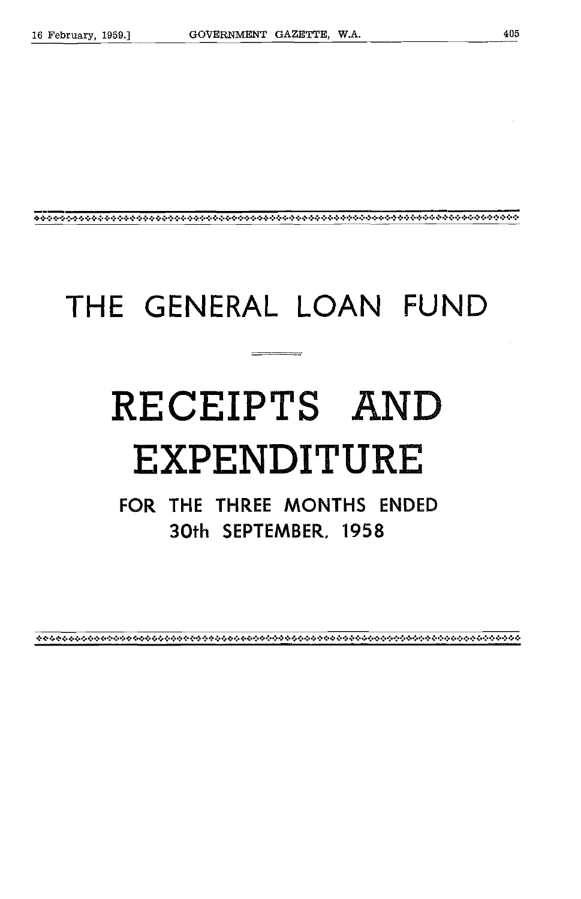## THE GENERAL LOAN FUND

<del>ॾढ़ज़ॸ</del>ज़ज़ॸढ़ढ़ढ़ढ़ढ़ढ़ढ़ढ़ढ़ढ़ढ़ढ़ढ़ढ़ढ़ढ़ढ़ढ़ढ़ढ़ढ़क़क़॔ढ़ढ़ढ़ज़ज़क़क़ढ़ज़ऀढ़ज़क़ढ़ढ़ढ़ढ़ढ़ढ़ढ़क़क़ज़ज़ऀक़ऀक़क़ज़क़ख़ज़क़ऀक़ऀक़ऀक़ऀक़ऀक़क़क़क़क़क़क़

# RECEIPTS AND EXPENDITURE

FOR THE THREE MONTHS ENDED 30th SEPTEMBER. 1958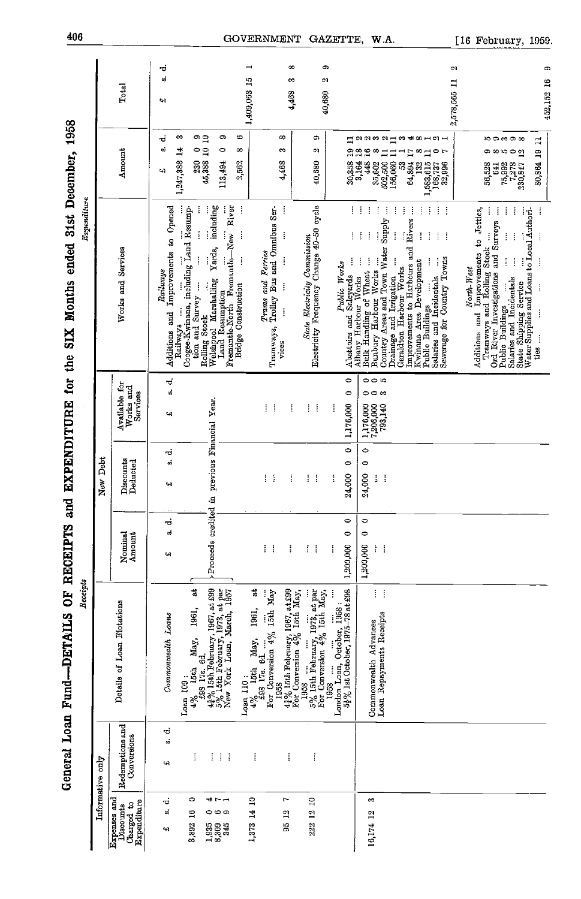| ľ                                                                                                                                                                                                                                                       |
|---------------------------------------------------------------------------------------------------------------------------------------------------------------------------------------------------------------------------------------------------------|
| $\frac{1}{2}$<br>ŗ                                                                                                                                                                                                                                      |
| $\frac{1}{6}$                                                                                                                                                                                                                                           |
| <br> <br>                                                                                                                                                                                                                                               |
| <b>CITATION VIA ATA VIA 101</b><br>u ani                                                                                                                                                                                                                |
| $\frac{1}{2}$                                                                                                                                                                                                                                           |
|                                                                                                                                                                                                                                                         |
| $\frac{1}{2}$                                                                                                                                                                                                                                           |
| <b>If the second with the first party of the second second the second second second second second second second second second second second second second second second second second second second second second second second </b><br>i<br>i<br> <br> |
|                                                                                                                                                                                                                                                         |
| きょう とうしょう<br>l                                                                                                                                                                                                                                          |
| š                                                                                                                                                                                                                                                       |
|                                                                                                                                                                                                                                                         |
|                                                                                                                                                                                                                                                         |
|                                                                                                                                                                                                                                                         |

|                                                        | Informative only               |                                                                                                                                                                                        |                                  | Debt<br>New                                   |                                                                           |                                                                                                                                                                                              |                                                                                             |                        |
|--------------------------------------------------------|--------------------------------|----------------------------------------------------------------------------------------------------------------------------------------------------------------------------------------|----------------------------------|-----------------------------------------------|---------------------------------------------------------------------------|----------------------------------------------------------------------------------------------------------------------------------------------------------------------------------------------|---------------------------------------------------------------------------------------------|------------------------|
| Lapenses and<br>Expenditure<br>Charged to<br>Discounts | Redemptions and<br>Conversions | Details of Loan Flotations                                                                                                                                                             | Nomina<br>Amount                 | Discounts<br>Deducted                         | Available for<br>Works and<br>Services                                    | Works and Services                                                                                                                                                                           | Amount                                                                                      | Total                  |
| ಕ<br>to.<br>44                                         | ن.<br>س<br>Щ                   | Commonwealth Loans                                                                                                                                                                     | ರ<br>4                           | ಕ<br>a)<br>ч                                  | d<br>ai<br>په                                                             | Improvements to Opened<br>Railways<br>Additions and                                                                                                                                          | ಕ<br>ŵ<br>$\mathbf{q}$                                                                      | ರ<br>ú<br>ખ            |
| 0<br>3,892 16                                          | ŧ                              | May,<br>15th<br>Loan 109:                                                                                                                                                              |                                  |                                               |                                                                           | Coogee-Kwinana, including Land Resump-<br>tion and Survey<br>Railways                                                                                                                        | co<br>1,247,388 14<br>នី                                                                    |                        |
| $4 - 1$<br>000<br>1,332<br>8,325                       | ŧ<br>Ŧ                         | $4\%$ 15th May, 1961, at $4\%$ 17s. 6d.<br>$4\%$ 15th February, 1967, at 599<br>$6\%$ 15th February, 1973, at par 5% 15th February, 1973, at par New York Loan, March, 1957            |                                  | Froceeds credited in previous Financial Year. |                                                                           | including<br>Yards,<br>Welshpool Marshalling<br>Land Resumption<br>Rolling Stock                                                                                                             | $\begin{smallmatrix} 0 & 1 \\ 0 & 0 \end{smallmatrix}$<br>e<br>$\circ$<br>45,388<br>113,494 |                        |
|                                                        | ŧ                              | $\begin{array}{rl} \text{Lom }110: \\ 4\% & \text{I5th} \end{array}$                                                                                                                   |                                  |                                               |                                                                           | Fremantle-North Fremantle-New River<br>İ<br>İ<br>ļ<br><b>Bridge Construction</b>                                                                                                             | 6<br>∞<br>2,562                                                                             | −<br>1,409,063 15      |
| 1,373 14 10                                            | ŧ                              | $4\%$ 15th May, 1961, at $4\%$ 15th $6d$<br>For Conversion $4\%$ 15th May<br>May,                                                                                                      | ł<br>÷                           | ŧ<br>Ť                                        | ŧ<br>ŧ                                                                    | Tramways, Trolley Bus and Omnibus Ser-<br>Trams and Ferries                                                                                                                                  |                                                                                             |                        |
| r<br>95 12                                             | ŧ                              | $4\frac{3}{5}\%$ 15th February, 1967, at £99<br>For Conversion $4\%$ 15th May,<br>1958                                                                                                 | ŧ                                | ŧ                                             | ŧ                                                                         | j<br>ł<br>$\vdots$<br>$\vdots$<br>$\vdots$<br>vices                                                                                                                                          | S<br>∞<br>4,468                                                                             | œ<br>S<br>4,468        |
| 222 12 10                                              | ŧ                              | $5\%$ 15th February, 1973, at particle Conversion $4\%$ 15th May,<br>1958                                                                                                              | Ť<br>ŧ                           | ŧ<br>ŧ                                        | ŧ<br>ŧ                                                                    | <i>State Electricity Commission</i><br>Electricity Frequency Change 40-50 cycle                                                                                                              | c<br>M<br>40,680                                                                            | Ġ.<br>$\sim$<br>40,680 |
|                                                        |                                | $\begin{array}{rl} & \text{1958} & \dots & \text{1958} \ & \text{London} & \text{Lober, } 1958 : \end{array}$<br>$\begin{array}{rl} \text{London} & \text{1958} : \end{array}$<br>1958 | 0<br>1,200,000<br>ŧ              | $\Rightarrow$<br>$\Rightarrow$<br>24,000<br>İ | $\bullet$<br>$\circ$<br>1,176,000<br>ļ                                    | i<br>ļ<br>Public Works                                                                                                                                                                       | $\frac{28}{18}$<br>30,358<br>3,164                                                          |                        |
| ç,<br>16,174 12                                        |                                | $\mathcal{C}^{\mathcal{A}}$<br>Loan Repayments Receipts<br>Commonwealth Advances                                                                                                       | $\bullet$<br>1,200,000<br>ţ<br>ł | $\bullet$<br>$\bullet$<br>24,000<br>ł<br>j.   | 00 <sub>h</sub><br>00 m<br>1,176,000<br>7,206,000<br>7,206,000<br>793,140 | ŧ<br>ŧ<br>÷<br>÷<br><b>Suggy</b><br>÷<br>ţ<br>$\vdots$<br>Country Areas and Town Water<br>Abattoirs and Saleyards<br>Albany Harbour Works<br>Bulk Handling of Wheat<br>Bunbury Harbour Works | Haawa Ha<br>$\mathbf{r}$<br>œ<br>$\Xi$<br>448<br>502,500<br>35,602                          |                        |
|                                                        |                                |                                                                                                                                                                                        |                                  |                                               |                                                                           | ţ<br>İ<br>ŧ<br>Rivers<br>ţ<br>Improvements to Harbours and<br>ļ<br>Kwinana Area Development<br>Drainage and Irrigation<br>Geraldton Harbour Works                                            | $\equiv$<br>L7<br>64,894<br>156,060<br>S<br>132                                             |                        |
|                                                        |                                |                                                                                                                                                                                        |                                  |                                               |                                                                           | Ť<br>ŧ<br>ŧ<br>ĵ<br>ţ<br>İ<br>$\frac{1}{4}$<br>j.<br>Salaries and Incidentals<br>Sewerage for Country Towns<br>Public Buildings                                                              | 生8121<br>0 r<br>œ<br>$\Xi$<br>1,583,615<br>32,996<br>168,737                                |                        |
|                                                        |                                |                                                                                                                                                                                        |                                  |                                               |                                                                           | ţ<br>to Jetties,<br>Ord River Investigations and Surveys<br>Ì<br>$\frac{1}{2}$<br>Additions and Improvements the Tramways and Rolling Stock<br>Í<br>North West<br>Public Buildings           | ကောကကောတ<br>စာတက္ တက္က<br>56,528<br>75,992<br>7,278<br>641                                  | N<br>2,578,565 11      |
|                                                        |                                |                                                                                                                                                                                        |                                  |                                               |                                                                           | ł<br>Salaries and Incidentals<br>State Shipping Service<br>Water Supplies and Loans to Local Authori-<br>ţ<br>ļ<br>į<br>ļ<br>ties                                                            | $\Xi$<br>80,864 19<br>230,847                                                               | ය<br>452,152 16        |

[16 February, 1959.